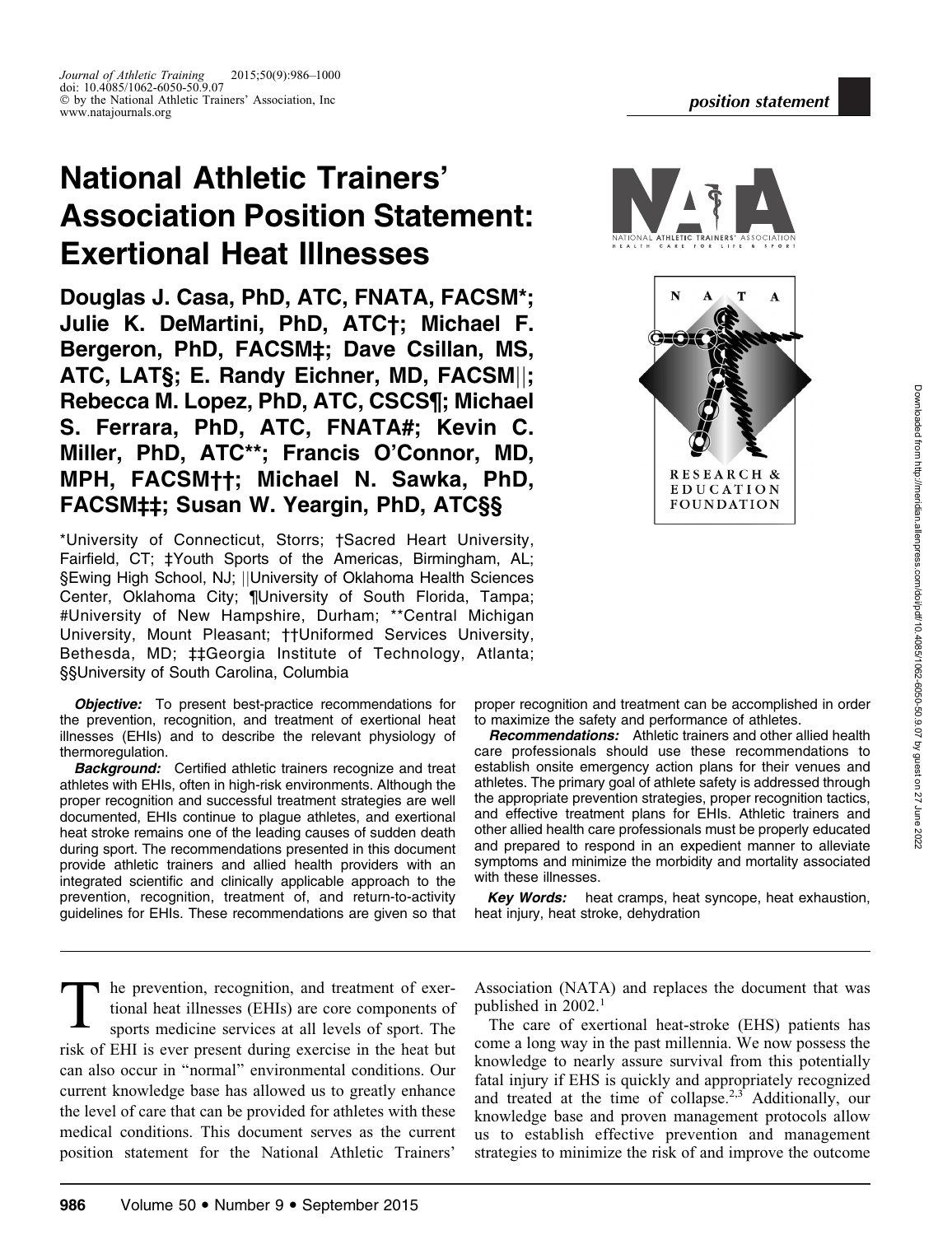# National Athletic Trainers' Association Position Statement: Exertional Heat Illnesses

Douglas J. Casa, PhD, ATC, FNATA, FACSM\*; Julie K. DeMartini, PhD, ATC†; Michael F. Bergeron, PhD, FACSM‡; Dave Csillan, MS, ATC, LATS; E. Randy Eichner, MD, FACSM||; Rebecca M. Lopez, PhD, ATC, CSCS¶; Michael S. Ferrara, PhD, ATC, FNATA#; Kevin C. Miller, PhD, ATC\*\*; Francis O'Connor, MD, MPH, FACSM††; Michael N. Sawka, PhD, FACSM‡‡; Susan W. Yeargin, PhD, ATC§§

\*University of Connecticut, Storrs; †Sacred Heart University, Fairfield, CT; ‡Youth Sports of the Americas, Birmingham, AL; §Ewing High School, NJ; ||University of Oklahoma Health Sciences Center, Oklahoma City; ¶University of South Florida, Tampa; #University of New Hampshire, Durham; \*\*Central Michigan University, Mount Pleasant; ††Uniformed Services University, Bethesda, MD; ‡‡Georgia Institute of Technology, Atlanta; §§University of South Carolina, Columbia

**Objective:** To present best-practice recommendations for the prevention, recognition, and treatment of exertional heat illnesses (EHIs) and to describe the relevant physiology of thermoregulation.

**Background:** Certified athletic trainers recognize and treat athletes with EHIs, often in high-risk environments. Although the proper recognition and successful treatment strategies are well documented, EHIs continue to plague athletes, and exertional heat stroke remains one of the leading causes of sudden death during sport. The recommendations presented in this document provide athletic trainers and allied health providers with an integrated scientific and clinically applicable approach to the prevention, recognition, treatment of, and return-to-activity guidelines for EHIs. These recommendations are given so that

The prevention, recognition, and treatment of exertional heat illnesses (EHIs) are core components of sports medicine services at all levels of sport. The risk of EHI is ever present during exercise in the heat but can also occur in ''normal'' environmental conditions. Our current knowledge base has allowed us to greatly enhance the level of care that can be provided for athletes with these medical conditions. This document serves as the current position statement for the National Athletic Trainers'



proper recognition and treatment can be accomplished in order to maximize the safety and performance of athletes.

Recommendations: Athletic trainers and other allied health care professionals should use these recommendations to establish onsite emergency action plans for their venues and athletes. The primary goal of athlete safety is addressed through the appropriate prevention strategies, proper recognition tactics, and effective treatment plans for EHIs. Athletic trainers and other allied health care professionals must be properly educated and prepared to respond in an expedient manner to alleviate symptoms and minimize the morbidity and mortality associated with these illnesses.

Key Words: heat cramps, heat syncope, heat exhaustion, heat injury, heat stroke, dehydration

Association (NATA) and replaces the document that was published in 2002.<sup>1</sup>

The care of exertional heat-stroke (EHS) patients has come a long way in the past millennia. We now possess the knowledge to nearly assure survival from this potentially fatal injury if EHS is quickly and appropriately recognized and treated at the time of collapse.2,3 Additionally, our knowledge base and proven management protocols allow us to establish effective prevention and management strategies to minimize the risk of and improve the outcome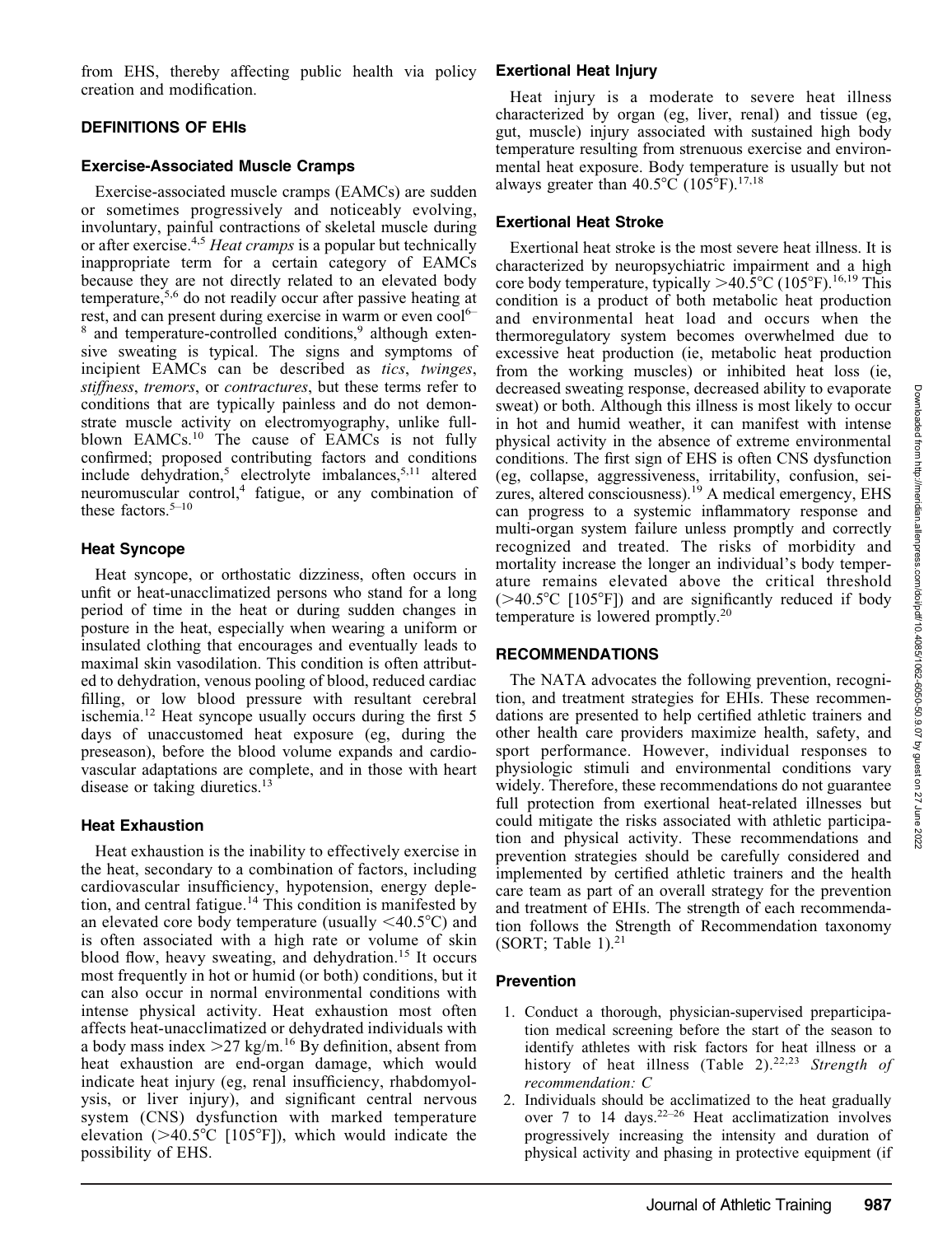from EHS, thereby affecting public health via policy **Exertional Heat Injury** creation and modification.

#### DEFINITIONS OF EHIs

#### Exercise-Associated Muscle Cramps

Exercise-associated muscle cramps (EAMCs) are sudden or sometimes progressively and noticeably evolving, involuntary, painful contractions of skeletal muscle during or after exercise.<sup>4,5</sup> Heat cramps is a popular but technically inappropriate term for a certain category of EAMCs because they are not directly related to an elevated body temperature,5,6 do not readily occur after passive heating at rest, and can present during exercise in warm or even cool<sup>6–</sup> <sup>8</sup> and temperature-controlled conditions,<sup>9</sup> although extensive sweating is typical. The signs and symptoms of incipient EAMCs can be described as *tics*, *twinges*, stiffness, tremors, or contractures, but these terms refer to conditions that are typically painless and do not demonstrate muscle activity on electromyography, unlike fullblown EAMCs.<sup>10</sup> The cause of EAMCs is not fully confirmed; proposed contributing factors and conditions include dehydration,<sup>5</sup> electrolyte imbalances,<sup>5,11</sup> altered neuromuscular control,<sup>4</sup> fatigue, or any combination of these factors. $5-10$ 

#### Heat Syncope

Heat syncope, or orthostatic dizziness, often occurs in unfit or heat-unacclimatized persons who stand for a long period of time in the heat or during sudden changes in posture in the heat, especially when wearing a uniform or insulated clothing that encourages and eventually leads to maximal skin vasodilation. This condition is often attributed to dehydration, venous pooling of blood, reduced cardiac filling, or low blood pressure with resultant cerebral ischemia.<sup>12</sup> Heat syncope usually occurs during the first 5 days of unaccustomed heat exposure (eg, during the preseason), before the blood volume expands and cardiovascular adaptations are complete, and in those with heart disease or taking diuretics.<sup>13</sup>

#### Heat Exhaustion

Heat exhaustion is the inability to effectively exercise in the heat, secondary to a combination of factors, including cardiovascular insufficiency, hypotension, energy depletion, and central fatigue.<sup>14</sup> This condition is manifested by an elevated core body temperature (usually  $\leq 40.5^{\circ}$ C) and is often associated with a high rate or volume of skin blood flow, heavy sweating, and dehydration.<sup>15</sup> It occurs most frequently in hot or humid (or both) conditions, but it can also occur in normal environmental conditions with intense physical activity. Heat exhaustion most often affects heat-unacclimatized or dehydrated individuals with a body mass index  $>27$  kg/m.<sup>16</sup> By definition, absent from heat exhaustion are end-organ damage, which would indicate heat injury (eg, renal insufficiency, rhabdomyolysis, or liver injury), and significant central nervous system (CNS) dysfunction with marked temperature elevation  $(>40.5^{\circ}C$  [105<sup>°</sup>F]), which would indicate the possibility of EHS.

Heat injury is a moderate to severe heat illness characterized by organ (eg, liver, renal) and tissue (eg, gut, muscle) injury associated with sustained high body temperature resulting from strenuous exercise and environmental heat exposure. Body temperature is usually but not always greater than  $40.5^{\circ}$ C (105 $^{\circ}$ F).<sup>17,18</sup>

## Exertional Heat Stroke

Exertional heat stroke is the most severe heat illness. It is characterized by neuropsychiatric impairment and a high core body temperature, typically  $>40.5^{\circ}$ C (105°F).<sup>16,19</sup> This condition is a product of both metabolic heat production and environmental heat load and occurs when the thermoregulatory system becomes overwhelmed due to excessive heat production (ie, metabolic heat production from the working muscles) or inhibited heat loss (ie, decreased sweating response, decreased ability to evaporate sweat) or both. Although this illness is most likely to occur in hot and humid weather, it can manifest with intense physical activity in the absence of extreme environmental conditions. The first sign of EHS is often CNS dysfunction (eg, collapse, aggressiveness, irritability, confusion, seizures, altered consciousness).19 A medical emergency, EHS can progress to a systemic inflammatory response and multi-organ system failure unless promptly and correctly recognized and treated. The risks of morbidity and mortality increase the longer an individual's body temperature remains elevated above the critical threshold  $(>40.5^{\circ}C$  [105°F]) and are significantly reduced if body temperature is lowered promptly.20

# RECOMMENDATIONS

The NATA advocates the following prevention, recognition, and treatment strategies for EHIs. These recommendations are presented to help certified athletic trainers and other health care providers maximize health, safety, and sport performance. However, individual responses to physiologic stimuli and environmental conditions vary widely. Therefore, these recommendations do not guarantee full protection from exertional heat-related illnesses but could mitigate the risks associated with athletic participation and physical activity. These recommendations and prevention strategies should be carefully considered and implemented by certified athletic trainers and the health care team as part of an overall strategy for the prevention and treatment of EHIs. The strength of each recommendation follows the Strength of Recommendation taxonomy (SORT; Table 1). $21$ 

# Prevention

- 1. Conduct a thorough, physician-supervised preparticipation medical screening before the start of the season to identify athletes with risk factors for heat illness or a history of heat illness (Table 2).<sup>22,23</sup> Strength of recommendation: C
- 2. Individuals should be acclimatized to the heat gradually over 7 to 14 days.<sup>22–26</sup> Heat acclimatization involves progressively increasing the intensity and duration of physical activity and phasing in protective equipment (if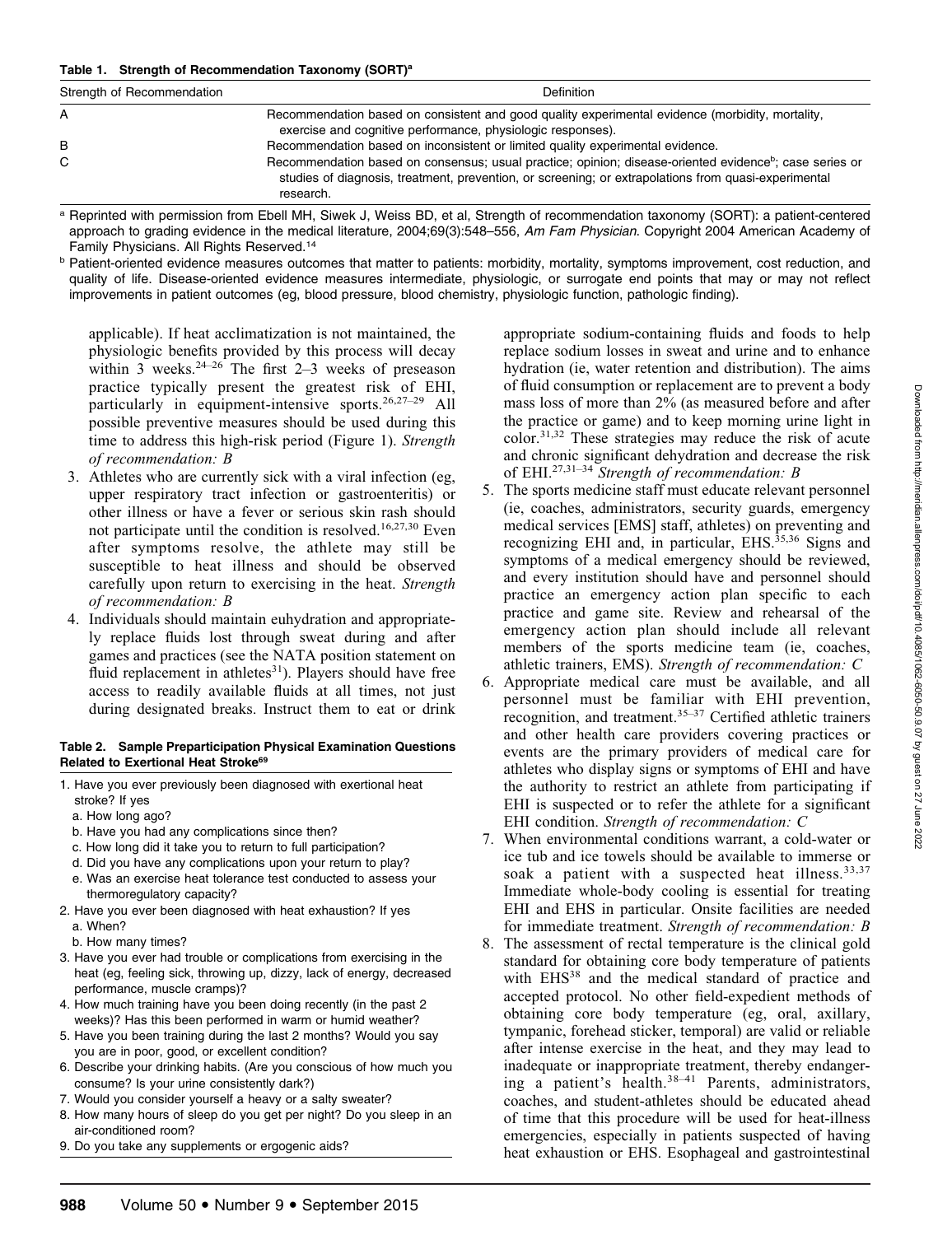#### Table 1. Strength of Recommendation Taxonomy (SORT)<sup>a</sup>

| Strength of Recommendation | <b>Definition</b>                                                                                                                                                                                                                                                                                                          |  |
|----------------------------|----------------------------------------------------------------------------------------------------------------------------------------------------------------------------------------------------------------------------------------------------------------------------------------------------------------------------|--|
| А                          | Recommendation based on consistent and good quality experimental evidence (morbidity, mortality,<br>exercise and cognitive performance, physiologic responses).                                                                                                                                                            |  |
| в<br>C                     | Recommendation based on inconsistent or limited quality experimental evidence.<br>Recommendation based on consensus; usual practice; opinion; disease-oriented evidence <sup>b</sup> ; case series or<br>studies of diagnosis, treatment, prevention, or screening; or extrapolations from quasi-experimental<br>research. |  |
|                            | $\mathbb{R}$ . The state of the state of the state of the state of the state of the state of the state of the state of the state of the state of the state of the state of the state of the state of the state of the state of th<br>$\sim$ $\sim$ $\sim$ $\sim$ $\sim$ $\sim$                                             |  |

<sup>a</sup> Reprinted with permission from Ebell MH, Siwek J, Weiss BD, et al, Strength of recommendation taxonomy (SORT): a patient-centered approach to grading evidence in the medical literature, 2004;69(3):548-556, Am Fam Physician. Copyright 2004 American Academy of Family Physicians. All Rights Reserved.<sup>14</sup>

**b** Patient-oriented evidence measures outcomes that matter to patients: morbidity, mortality, symptoms improvement, cost reduction, and quality of life. Disease-oriented evidence measures intermediate, physiologic, or surrogate end points that may or may not reflect improvements in patient outcomes (eg, blood pressure, blood chemistry, physiologic function, pathologic finding).

applicable). If heat acclimatization is not maintained, the physiologic benefits provided by this process will decay within 3 weeks. $24-26$  The first 2–3 weeks of preseason practice typically present the greatest risk of EHI, particularly in equipment-intensive sports.<sup>26,27-29</sup> All possible preventive measures should be used during this time to address this high-risk period (Figure 1). Strength of recommendation: B

- 3. Athletes who are currently sick with a viral infection (eg, upper respiratory tract infection or gastroenteritis) or other illness or have a fever or serious skin rash should not participate until the condition is resolved.<sup>16,27,30</sup> Even after symptoms resolve, the athlete may still be susceptible to heat illness and should be observed carefully upon return to exercising in the heat. Strength of recommendation: B
- 4. Individuals should maintain euhydration and appropriately replace fluids lost through sweat during and after games and practices (see the NATA position statement on fluid replacement in athletes $31$ ). Players should have free access to readily available fluids at all times, not just during designated breaks. Instruct them to eat or drink

#### Table 2. Sample Preparticipation Physical Examination Questions Related to Exertional Heat Stroke<sup>69</sup>

- 1. Have you ever previously been diagnosed with exertional heat stroke? If yes
	- a. How long ago?
	- b. Have you had any complications since then?
	- c. How long did it take you to return to full participation?
	- d. Did you have any complications upon your return to play?
	- e. Was an exercise heat tolerance test conducted to assess your thermoregulatory capacity?
- 2. Have you ever been diagnosed with heat exhaustion? If yes a. When?
- b. How many times?
- 3. Have you ever had trouble or complications from exercising in the heat (eg, feeling sick, throwing up, dizzy, lack of energy, decreased performance, muscle cramps)?
- 4. How much training have you been doing recently (in the past 2 weeks)? Has this been performed in warm or humid weather?
- 5. Have you been training during the last 2 months? Would you say you are in poor, good, or excellent condition?
- 6. Describe your drinking habits. (Are you conscious of how much you consume? Is your urine consistently dark?)
- 7. Would you consider yourself a heavy or a salty sweater?
- 8. How many hours of sleep do you get per night? Do you sleep in an air-conditioned room?
- 9. Do you take any supplements or ergogenic aids?

appropriate sodium-containing fluids and foods to help replace sodium losses in sweat and urine and to enhance hydration (ie, water retention and distribution). The aims of fluid consumption or replacement are to prevent a body mass loss of more than 2% (as measured before and after the practice or game) and to keep morning urine light in color.31,32 These strategies may reduce the risk of acute and chronic significant dehydration and decrease the risk of EHI.<sup>27,31–34</sup> Strength of recommendation: B

- 5. The sports medicine staff must educate relevant personnel (ie, coaches, administrators, security guards, emergency medical services [EMS] staff, athletes) on preventing and recognizing EHI and, in particular,  $E$ HS.<sup>35,36</sup> Signs and symptoms of a medical emergency should be reviewed, and every institution should have and personnel should practice an emergency action plan specific to each practice and game site. Review and rehearsal of the emergency action plan should include all relevant members of the sports medicine team (ie, coaches, athletic trainers, EMS). Strength of recommendation: C
- 6. Appropriate medical care must be available, and all personnel must be familiar with EHI prevention, recognition, and treatment. $35-37$  Certified athletic trainers and other health care providers covering practices or events are the primary providers of medical care for athletes who display signs or symptoms of EHI and have the authority to restrict an athlete from participating if EHI is suspected or to refer the athlete for a significant EHI condition. Strength of recommendation: C
- 7. When environmental conditions warrant, a cold-water or ice tub and ice towels should be available to immerse or soak a patient with a suspected heat illness.<sup>33,37</sup> Immediate whole-body cooling is essential for treating EHI and EHS in particular. Onsite facilities are needed for immediate treatment. Strength of recommendation: B
- 8. The assessment of rectal temperature is the clinical gold standard for obtaining core body temperature of patients with EHS<sup>38</sup> and the medical standard of practice and accepted protocol. No other field-expedient methods of obtaining core body temperature (eg, oral, axillary, tympanic, forehead sticker, temporal) are valid or reliable after intense exercise in the heat, and they may lead to inadequate or inappropriate treatment, thereby endangering a patient's health.<sup>38-41</sup> Parents, administrators, coaches, and student-athletes should be educated ahead of time that this procedure will be used for heat-illness emergencies, especially in patients suspected of having heat exhaustion or EHS. Esophageal and gastrointestinal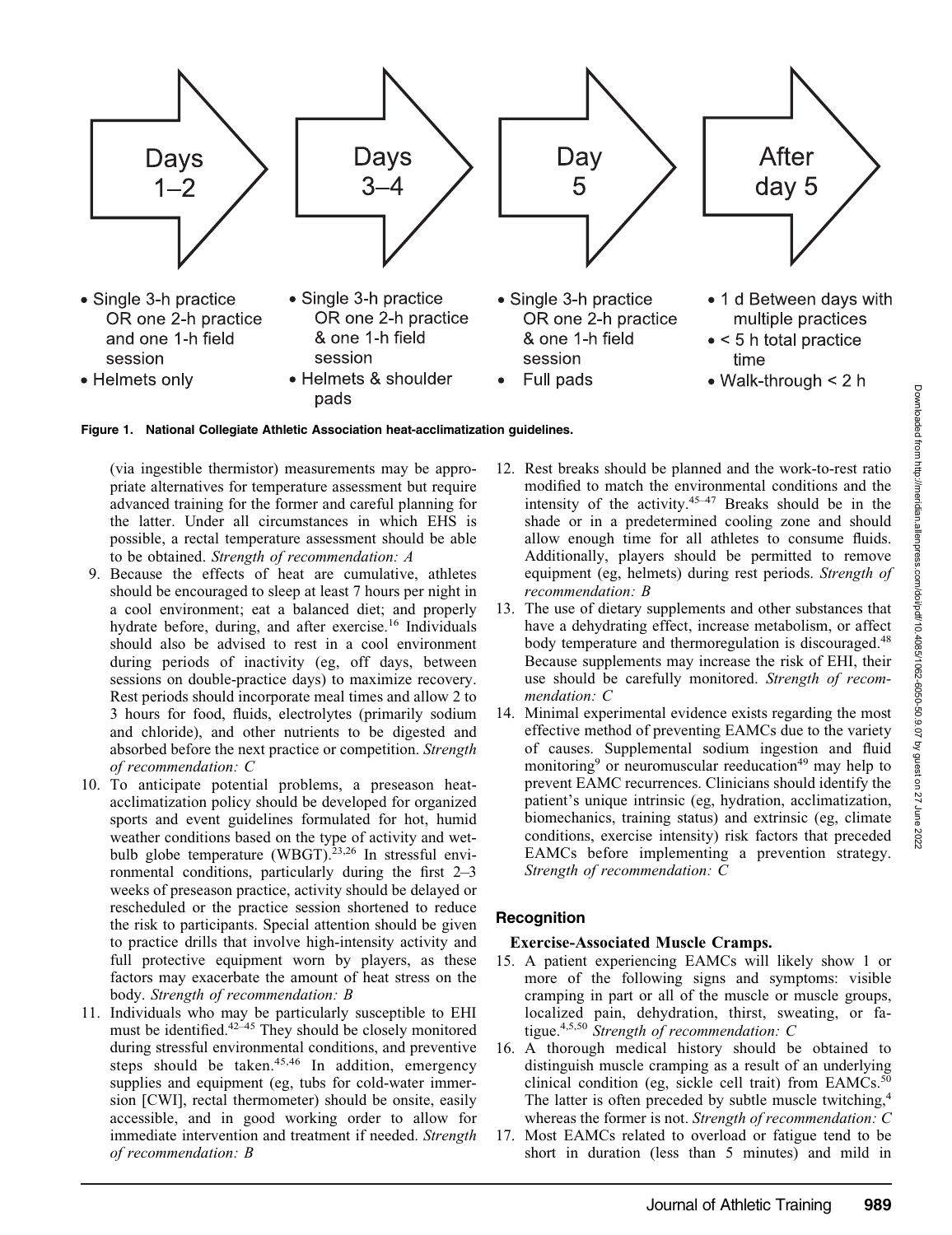June 2022



Figure 1. National Collegiate Athletic Association heat-acclimatization guidelines.

(via ingestible thermistor) measurements may be appropriate alternatives for temperature assessment but require advanced training for the former and careful planning for the latter. Under all circumstances in which EHS is possible, a rectal temperature assessment should be able to be obtained. Strength of recommendation: A

- 9. Because the effects of heat are cumulative, athletes should be encouraged to sleep at least 7 hours per night in a cool environment; eat a balanced diet; and properly hydrate before, during, and after exercise.<sup>16</sup> Individuals should also be advised to rest in a cool environment during periods of inactivity (eg, off days, between sessions on double-practice days) to maximize recovery. Rest periods should incorporate meal times and allow 2 to 3 hours for food, fluids, electrolytes (primarily sodium and chloride), and other nutrients to be digested and absorbed before the next practice or competition. Strength of recommendation: C
- 10. To anticipate potential problems, a preseason heatacclimatization policy should be developed for organized sports and event guidelines formulated for hot, humid weather conditions based on the type of activity and wetbulb globe temperature (WBGT). $^{23,26}$  In stressful environmental conditions, particularly during the first 2–3 weeks of preseason practice, activity should be delayed or rescheduled or the practice session shortened to reduce the risk to participants. Special attention should be given to practice drills that involve high-intensity activity and full protective equipment worn by players, as these factors may exacerbate the amount of heat stress on the body. Strength of recommendation: B
- 11. Individuals who may be particularly susceptible to EHI must be identified.<sup>42-45</sup> They should be closely monitored during stressful environmental conditions, and preventive steps should be taken. $45,46$  In addition, emergency supplies and equipment (eg, tubs for cold-water immersion [CWI], rectal thermometer) should be onsite, easily accessible, and in good working order to allow for immediate intervention and treatment if needed. Strength of recommendation: B
- 12. Rest breaks should be planned and the work-to-rest ratio modified to match the environmental conditions and the intensity of the activity. $45-47$  Breaks should be in the shade or in a predetermined cooling zone and should allow enough time for all athletes to consume fluids. Additionally, players should be permitted to remove equipment (eg, helmets) during rest periods. Strength of recommendation: B
- 13. The use of dietary supplements and other substances that have a dehydrating effect, increase metabolism, or affect body temperature and thermoregulation is discouraged.<sup>48</sup> Because supplements may increase the risk of EHI, their use should be carefully monitored. Strength of recommendation: C
- 14. Minimal experimental evidence exists regarding the most effective method of preventing EAMCs due to the variety of causes. Supplemental sodium ingestion and fluid monitoring<sup>9</sup> or neuromuscular reeducation<sup>49</sup> may help to prevent EAMC recurrences. Clinicians should identify the patient's unique intrinsic (eg, hydration, acclimatization, biomechanics, training status) and extrinsic (eg, climate conditions, exercise intensity) risk factors that preceded EAMCs before implementing a prevention strategy. Strength of recommendation: C

# **Recognition**

#### Exercise-Associated Muscle Cramps.

- 15. A patient experiencing EAMCs will likely show 1 or more of the following signs and symptoms: visible cramping in part or all of the muscle or muscle groups, localized pain, dehydration, thirst, sweating, or fatigue.<sup>4,5,50</sup> Strength of recommendation: C
- 16. A thorough medical history should be obtained to distinguish muscle cramping as a result of an underlying clinical condition (eg, sickle cell trait) from EAMCs. $50$ The latter is often preceded by subtle muscle twitching,<sup>4</sup> whereas the former is not. Strength of recommendation: C
- 17. Most EAMCs related to overload or fatigue tend to be short in duration (less than 5 minutes) and mild in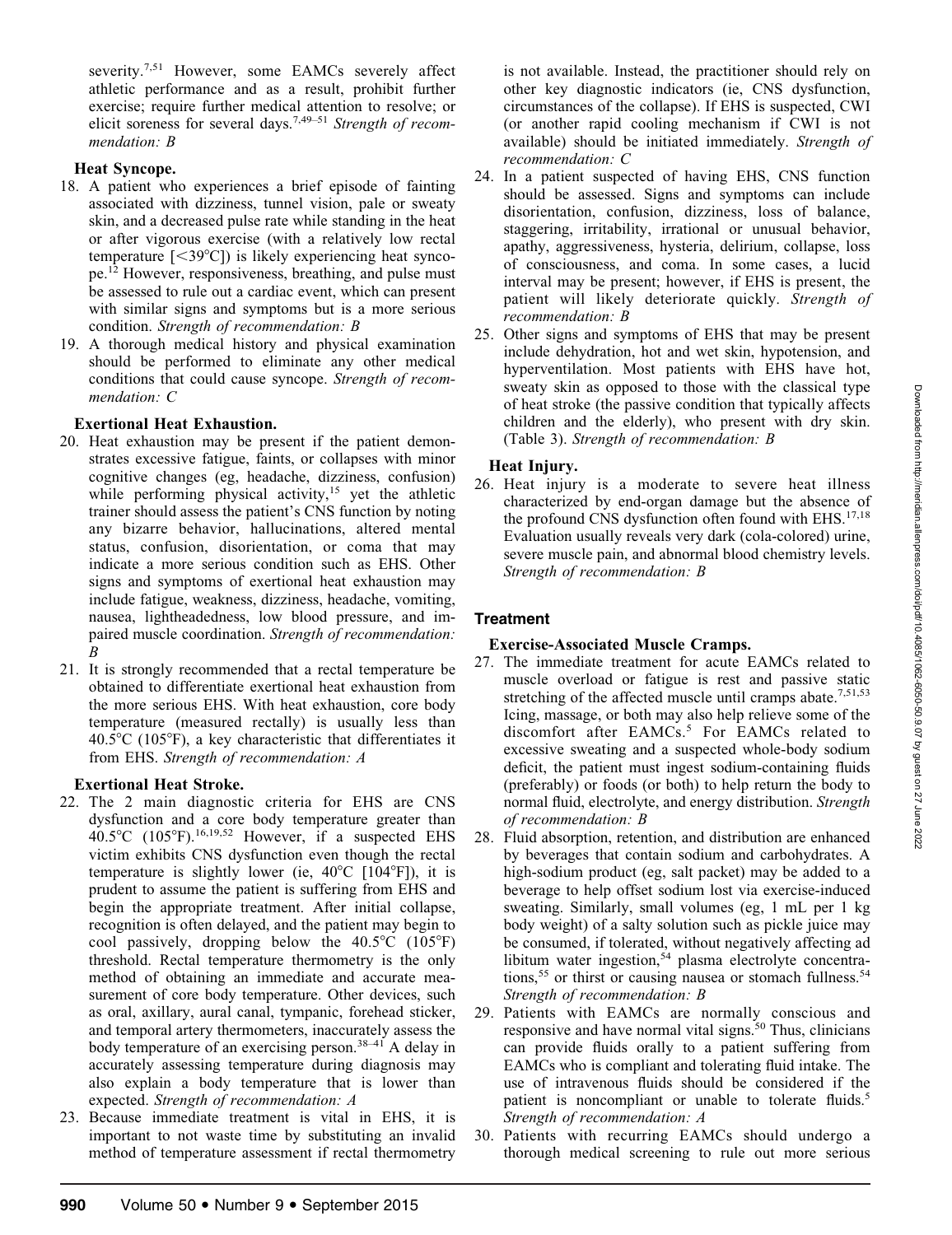severity.<sup>7,51</sup> However, some EAMCs severely affect athletic performance and as a result, prohibit further exercise; require further medical attention to resolve; or elicit soreness for several days.<sup>7,49–51</sup> Strength of recommendation: B

## Heat Syncope.

- 18. A patient who experiences a brief episode of fainting associated with dizziness, tunnel vision, pale or sweaty skin, and a decreased pulse rate while standing in the heat or after vigorous exercise (with a relatively low rectal temperature  $\lceil$ <39°C]) is likely experiencing heat syncope.<sup>12</sup> However, responsiveness, breathing, and pulse must be assessed to rule out a cardiac event, which can present with similar signs and symptoms but is a more serious condition. Strength of recommendation: B
- 19. A thorough medical history and physical examination should be performed to eliminate any other medical conditions that could cause syncope. Strength of recommendation: C

# Exertional Heat Exhaustion.

- 20. Heat exhaustion may be present if the patient demonstrates excessive fatigue, faints, or collapses with minor cognitive changes (eg, headache, dizziness, confusion) while performing physical activity, $15$  yet the athletic trainer should assess the patient's CNS function by noting any bizarre behavior, hallucinations, altered mental status, confusion, disorientation, or coma that may indicate a more serious condition such as EHS. Other signs and symptoms of exertional heat exhaustion may include fatigue, weakness, dizziness, headache, vomiting, nausea, lightheadedness, low blood pressure, and impaired muscle coordination. Strength of recommendation: B
- 21. It is strongly recommended that a rectal temperature be obtained to differentiate exertional heat exhaustion from the more serious EHS. With heat exhaustion, core body temperature (measured rectally) is usually less than  $40.5^{\circ}$ C (105 $^{\circ}$ F), a key characteristic that differentiates it from EHS. Strength of recommendation: A

# Exertional Heat Stroke.

- 22. The 2 main diagnostic criteria for EHS are CNS dysfunction and a core body temperature greater than  $40.5^{\circ}$ C (105°F).<sup>16,19,52</sup> However, if a suspected EHS victim exhibits CNS dysfunction even though the rectal temperature is slightly lower (ie,  $40^{\circ}$ C [104 $^{\circ}$ F]), it is prudent to assume the patient is suffering from EHS and begin the appropriate treatment. After initial collapse, recognition is often delayed, and the patient may begin to cool passively, dropping below the  $40.5^{\circ}$ C (105 $^{\circ}$ F) threshold. Rectal temperature thermometry is the only method of obtaining an immediate and accurate measurement of core body temperature. Other devices, such as oral, axillary, aural canal, tympanic, forehead sticker, and temporal artery thermometers, inaccurately assess the body temperature of an exercising person.<sup>38-41</sup> A delay in accurately assessing temperature during diagnosis may also explain a body temperature that is lower than expected. Strength of recommendation: A
- 23. Because immediate treatment is vital in EHS, it is important to not waste time by substituting an invalid method of temperature assessment if rectal thermometry

is not available. Instead, the practitioner should rely on other key diagnostic indicators (ie, CNS dysfunction, circumstances of the collapse). If EHS is suspected, CWI (or another rapid cooling mechanism if CWI is not available) should be initiated immediately. Strength of recommendation: C

- 24. In a patient suspected of having EHS, CNS function should be assessed. Signs and symptoms can include disorientation, confusion, dizziness, loss of balance, staggering, irritability, irrational or unusual behavior, apathy, aggressiveness, hysteria, delirium, collapse, loss of consciousness, and coma. In some cases, a lucid interval may be present; however, if EHS is present, the patient will likely deteriorate quickly. Strength of recommendation: B
- 25. Other signs and symptoms of EHS that may be present include dehydration, hot and wet skin, hypotension, and hyperventilation. Most patients with EHS have hot, sweaty skin as opposed to those with the classical type of heat stroke (the passive condition that typically affects children and the elderly), who present with dry skin. (Table 3). Strength of recommendation: B

# Heat Injury.

26. Heat injury is a moderate to severe heat illness characterized by end-organ damage but the absence of the profound CNS dysfunction often found with EHS.<sup>17,18</sup> Evaluation usually reveals very dark (cola-colored) urine, severe muscle pain, and abnormal blood chemistry levels. Strength of recommendation: B

# **Treatment**

# Exercise-Associated Muscle Cramps.

- 27. The immediate treatment for acute EAMCs related to muscle overload or fatigue is rest and passive static stretching of the affected muscle until cramps abate.<sup>7,51,53</sup> Icing, massage, or both may also help relieve some of the discomfort after EAMCs.<sup>5</sup> For EAMCs related to excessive sweating and a suspected whole-body sodium deficit, the patient must ingest sodium-containing fluids (preferably) or foods (or both) to help return the body to normal fluid, electrolyte, and energy distribution. Strength of recommendation: B
- 28. Fluid absorption, retention, and distribution are enhanced by beverages that contain sodium and carbohydrates. A high-sodium product (eg, salt packet) may be added to a beverage to help offset sodium lost via exercise-induced sweating. Similarly, small volumes (eg, 1 mL per 1 kg body weight) of a salty solution such as pickle juice may be consumed, if tolerated, without negatively affecting ad libitum water ingestion, $54$  plasma electrolyte concentrations,<sup>55</sup> or thirst or causing nausea or stomach fullness.<sup>54</sup> Strength of recommendation: B
- 29. Patients with EAMCs are normally conscious and responsive and have normal vital signs.<sup>50</sup> Thus, clinicians can provide fluids orally to a patient suffering from EAMCs who is compliant and tolerating fluid intake. The use of intravenous fluids should be considered if the patient is noncompliant or unable to tolerate fluids.<sup>5</sup> Strength of recommendation: A
- 30. Patients with recurring EAMCs should undergo a thorough medical screening to rule out more serious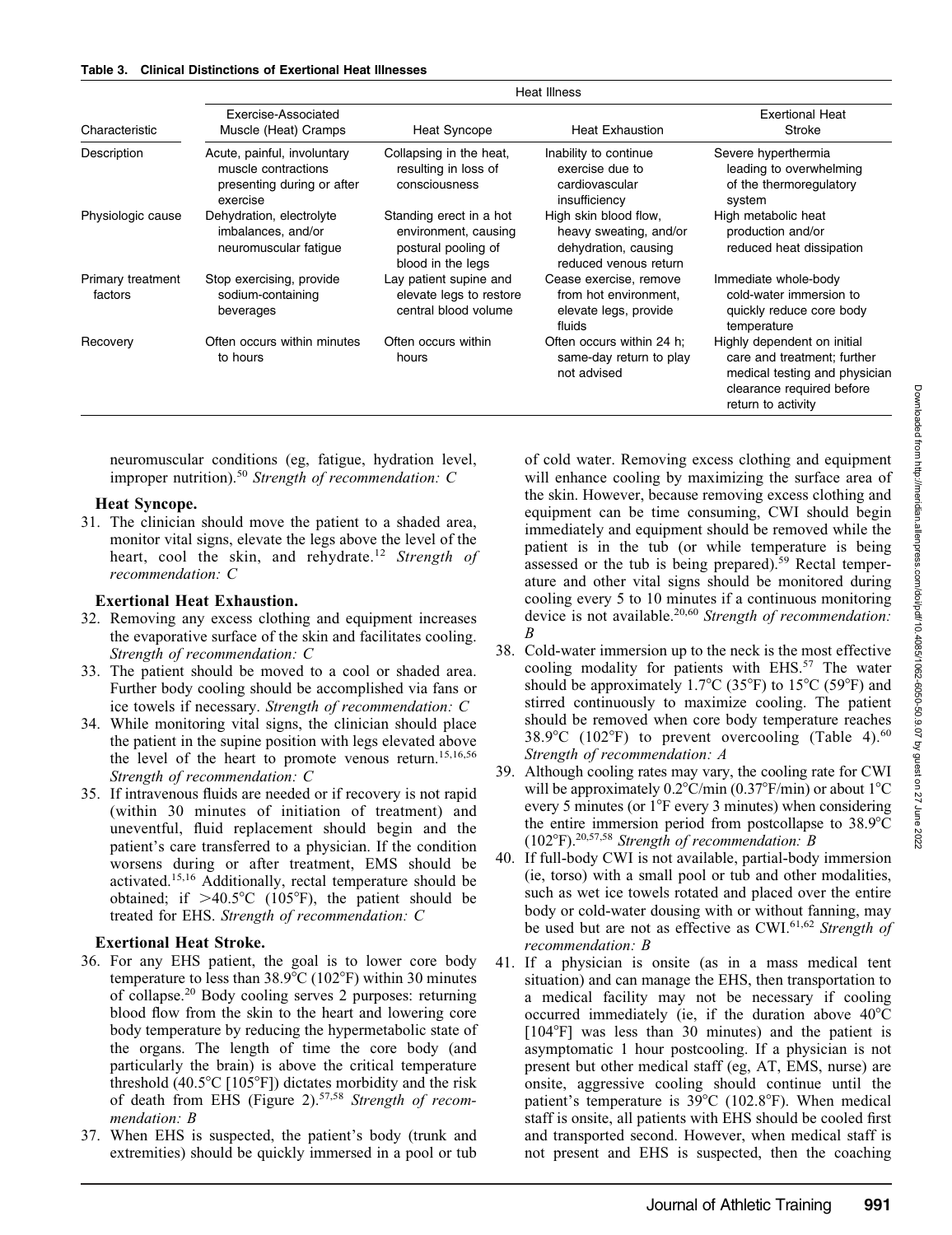| Characteristic               | Exercise-Associated<br>Muscle (Heat) Cramps                                                  | <b>Heat Syncope</b>                                                                         | <b>Heat Exhaustion</b>                                                                           | <b>Exertional Heat</b><br><b>Stroke</b>                                                                                                        |  |
|------------------------------|----------------------------------------------------------------------------------------------|---------------------------------------------------------------------------------------------|--------------------------------------------------------------------------------------------------|------------------------------------------------------------------------------------------------------------------------------------------------|--|
| Description                  | Acute, painful, involuntary<br>muscle contractions<br>presenting during or after<br>exercise | Collapsing in the heat,<br>resulting in loss of<br>consciousness                            | Inability to continue<br>exercise due to<br>cardiovascular<br>insufficiency                      | Severe hyperthermia<br>leading to overwhelming<br>of the thermoregulatory<br>system                                                            |  |
| Physiologic cause            | Dehydration, electrolyte<br>imbalances, and/or<br>neuromuscular fatigue                      | Standing erect in a hot<br>environment, causing<br>postural pooling of<br>blood in the legs | High skin blood flow,<br>heavy sweating, and/or<br>dehydration, causing<br>reduced venous return | High metabolic heat<br>production and/or<br>reduced heat dissipation                                                                           |  |
| Primary treatment<br>factors | Stop exercising, provide<br>sodium-containing<br>beverages                                   | Lay patient supine and<br>elevate legs to restore<br>central blood volume                   | Cease exercise, remove<br>from hot environment.<br>elevate legs, provide<br>fluids               | Immediate whole-body<br>cold-water immersion to<br>quickly reduce core body<br>temperature                                                     |  |
| Recovery                     | Often occurs within minutes<br>to hours                                                      | Often occurs within<br>hours                                                                | Often occurs within 24 h;<br>same-day return to play<br>not advised                              | Highly dependent on initial<br>care and treatment; further<br>medical testing and physician<br>clearance required before<br>return to activity |  |

Heat Illness

neuromuscular conditions (eg, fatigue, hydration level, improper nutrition).<sup>50</sup> Strength of recommendation:  $C$ 

#### Heat Syncope.

31. The clinician should move the patient to a shaded area, monitor vital signs, elevate the legs above the level of the heart, cool the skin, and rehydrate.<sup>12</sup> Strength of recommendation: C

#### Exertional Heat Exhaustion.

- 32. Removing any excess clothing and equipment increases the evaporative surface of the skin and facilitates cooling. Strength of recommendation: C
- 33. The patient should be moved to a cool or shaded area. Further body cooling should be accomplished via fans or ice towels if necessary. Strength of recommendation: C
- 34. While monitoring vital signs, the clinician should place the patient in the supine position with legs elevated above the level of the heart to promote venous return.<sup>15,16,56</sup> Strength of recommendation: C
- 35. If intravenous fluids are needed or if recovery is not rapid (within 30 minutes of initiation of treatment) and uneventful, fluid replacement should begin and the patient's care transferred to a physician. If the condition worsens during or after treatment, EMS should be activated.15,16 Additionally, rectal temperature should be obtained; if  $>40.5^{\circ}C$  (105°F), the patient should be treated for EHS. Strength of recommendation: C

#### Exertional Heat Stroke.

- 36. For any EHS patient, the goal is to lower core body temperature to less than  $38.9^{\circ}$ C (102°F) within 30 minutes of collapse.<sup>20</sup> Body cooling serves 2 purposes: returning blood flow from the skin to the heart and lowering core body temperature by reducing the hypermetabolic state of the organs. The length of time the core body (and particularly the brain) is above the critical temperature threshold  $(40.5^{\circ}C$  [105 $^{\circ}F$ ]) dictates morbidity and the risk of death from EHS (Figure 2).<sup>57,58</sup> Strength of recommendation: B
- 37. When EHS is suspected, the patient's body (trunk and extremities) should be quickly immersed in a pool or tub

of cold water. Removing excess clothing and equipment will enhance cooling by maximizing the surface area of the skin. However, because removing excess clothing and equipment can be time consuming, CWI should begin immediately and equipment should be removed while the patient is in the tub (or while temperature is being assessed or the tub is being prepared).<sup>59</sup> Rectal temperature and other vital signs should be monitored during cooling every 5 to 10 minutes if a continuous monitoring device is not available.<sup>20,60</sup> Strength of recommendation: B

- 38. Cold-water immersion up to the neck is the most effective cooling modality for patients with EHS.<sup>57</sup> The water should be approximately 1.7°C (35°F) to 15°C (59°F) and stirred continuously to maximize cooling. The patient should be removed when core body temperature reaches  $38.9^{\circ}$ C (102°F) to prevent overcooling (Table 4).<sup>60</sup> Strength of recommendation: A
- 39. Although cooling rates may vary, the cooling rate for CWI will be approximately  $0.2^{\circ}$ C/min (0.37°F/min) or about 1°C every 5 minutes (or  $1^{\circ}$ F every 3 minutes) when considering the entire immersion period from postcollapse to  $38.9^{\circ}$ C (102°F).<sup>20,57,58</sup> Strength of recommendation: B
- 40. If full-body CWI is not available, partial-body immersion (ie, torso) with a small pool or tub and other modalities, such as wet ice towels rotated and placed over the entire body or cold-water dousing with or without fanning, may be used but are not as effective as  $CWI<sub>0.62</sub>$  Strength of recommendation: B
- 41. If a physician is onsite (as in a mass medical tent situation) and can manage the EHS, then transportation to a medical facility may not be necessary if cooling occurred immediately (ie, if the duration above  $40^{\circ}$ C  $[104\textdegree F]$  was less than 30 minutes) and the patient is asymptomatic 1 hour postcooling. If a physician is not present but other medical staff (eg, AT, EMS, nurse) are onsite, aggressive cooling should continue until the patient's temperature is  $39^{\circ}$ C (102.8°F). When medical staff is onsite, all patients with EHS should be cooled first and transported second. However, when medical staff is not present and EHS is suspected, then the coaching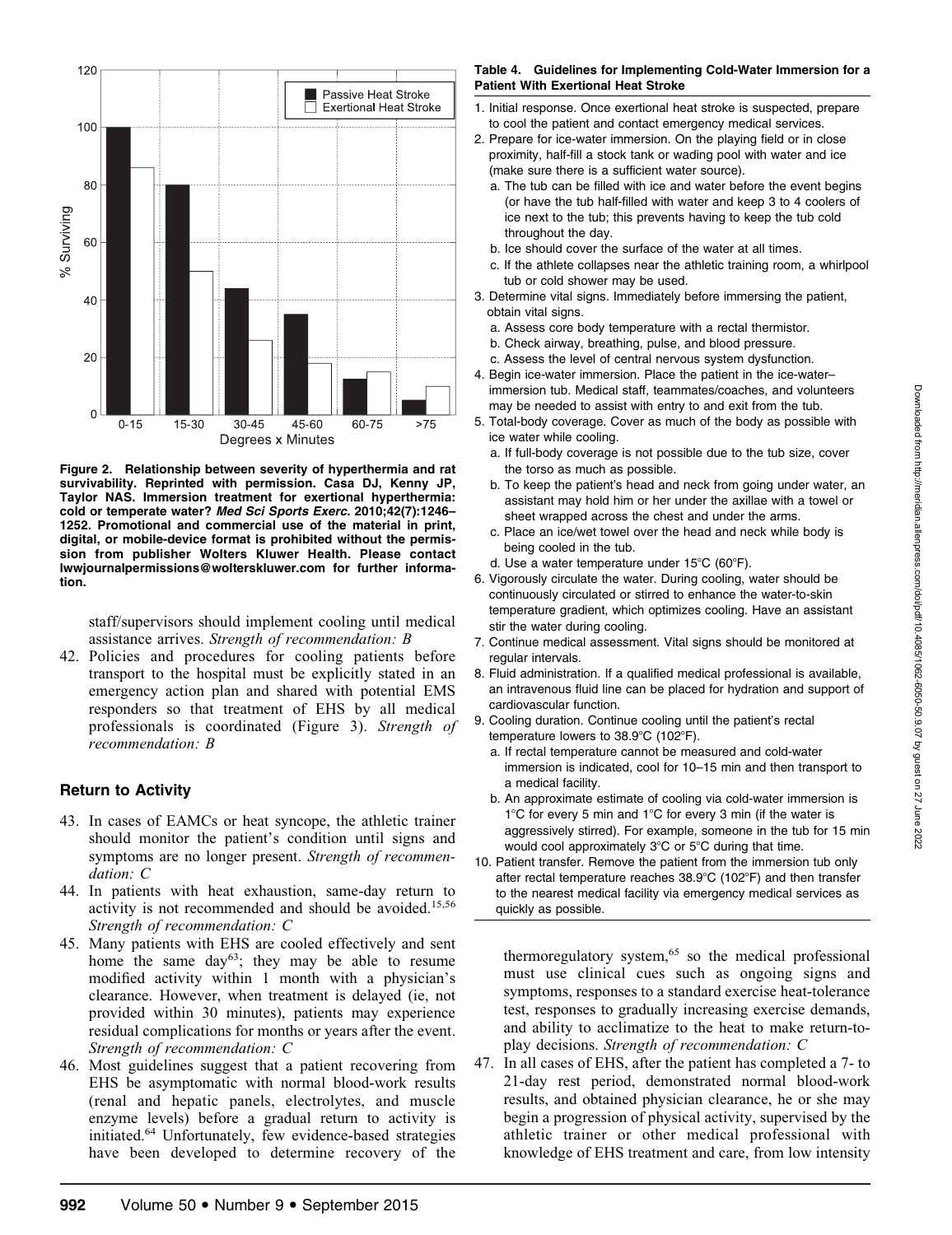

Figure 2. Relationship between severity of hyperthermia and rat survivability. Reprinted with permission. Casa DJ, Kenny JP, Taylor NAS. Immersion treatment for exertional hyperthermia: cold or temperate water? Med Sci Sports Exerc. 2010;42(7):1246– 1252. Promotional and commercial use of the material in print, digital, or mobile-device format is prohibited without the permission from publisher Wolters Kluwer Health. Please contact lwwjournalpermissions@wolterskluwer.com for further information.

staff/supervisors should implement cooling until medical assistance arrives. Strength of recommendation: B

42. Policies and procedures for cooling patients before transport to the hospital must be explicitly stated in an emergency action plan and shared with potential EMS responders so that treatment of EHS by all medical professionals is coordinated (Figure 3). Strength of recommendation: B

#### Return to Activity

- 43. In cases of EAMCs or heat syncope, the athletic trainer should monitor the patient's condition until signs and symptoms are no longer present. Strength of recommendation: C
- 44. In patients with heat exhaustion, same-day return to activity is not recommended and should be avoided.<sup>15,56</sup> Strength of recommendation: C
- 45. Many patients with EHS are cooled effectively and sent home the same day<sup>63</sup>; they may be able to resume modified activity within 1 month with a physician's clearance. However, when treatment is delayed (ie, not provided within 30 minutes), patients may experience residual complications for months or years after the event. Strength of recommendation: C
- 46. Most guidelines suggest that a patient recovering from EHS be asymptomatic with normal blood-work results (renal and hepatic panels, electrolytes, and muscle enzyme levels) before a gradual return to activity is initiated.<sup>64</sup> Unfortunately, few evidence-based strategies have been developed to determine recovery of the

#### Table 4. Guidelines for Implementing Cold-Water Immersion for a Patient With Exertional Heat Stroke

- 1. Initial response. Once exertional heat stroke is suspected, prepare to cool the patient and contact emergency medical services.
- 2. Prepare for ice-water immersion. On the playing field or in close proximity, half-fill a stock tank or wading pool with water and ice (make sure there is a sufficient water source).
	- a. The tub can be filled with ice and water before the event begins (or have the tub half-filled with water and keep 3 to 4 coolers of ice next to the tub; this prevents having to keep the tub cold throughout the day.
	- b. Ice should cover the surface of the water at all times.
	- c. If the athlete collapses near the athletic training room, a whirlpool tub or cold shower may be used.
- 3. Determine vital signs. Immediately before immersing the patient, obtain vital signs.
	- a. Assess core body temperature with a rectal thermistor.
	- b. Check airway, breathing, pulse, and blood pressure.
	- c. Assess the level of central nervous system dysfunction.
- 4. Begin ice-water immersion. Place the patient in the ice-water– immersion tub. Medical staff, teammates/coaches, and volunteers may be needed to assist with entry to and exit from the tub.
- 5. Total-body coverage. Cover as much of the body as possible with ice water while cooling.
	- a. If full-body coverage is not possible due to the tub size, cover the torso as much as possible.
	- b. To keep the patient's head and neck from going under water, an assistant may hold him or her under the axillae with a towel or sheet wrapped across the chest and under the arms.
	- c. Place an ice/wet towel over the head and neck while body is being cooled in the tub.
	- d. Use a water temperature under  $15^{\circ}$ C (60 $^{\circ}$ F).
- 6. Vigorously circulate the water. During cooling, water should be continuously circulated or stirred to enhance the water-to-skin temperature gradient, which optimizes cooling. Have an assistant stir the water during cooling.
- 7. Continue medical assessment. Vital signs should be monitored at regular intervals.
- 8. Fluid administration. If a qualified medical professional is available, an intravenous fluid line can be placed for hydration and support of cardiovascular function.
- 9. Cooling duration. Continue cooling until the patient's rectal temperature lowers to 38.9°C (102°F).
	- a. If rectal temperature cannot be measured and cold-water immersion is indicated, cool for 10–15 min and then transport to a medical facility.
	- b. An approximate estimate of cooling via cold-water immersion is  $1^{\circ}$ C for every 5 min and  $1^{\circ}$ C for every 3 min (if the water is aggressively stirred). For example, someone in the tub for 15 min would cool approximately  $3^{\circ}$ C or  $5^{\circ}$ C during that time.
- 10. Patient transfer. Remove the patient from the immersion tub only after rectal temperature reaches  $38.9^{\circ}$ C (102 $^{\circ}$ F) and then transfer to the nearest medical facility via emergency medical services as quickly as possible.

thermoregulatory system,<sup>65</sup> so the medical professional must use clinical cues such as ongoing signs and symptoms, responses to a standard exercise heat-tolerance test, responses to gradually increasing exercise demands, and ability to acclimatize to the heat to make return-toplay decisions. Strength of recommendation: C

47. In all cases of EHS, after the patient has completed a 7- to 21-day rest period, demonstrated normal blood-work results, and obtained physician clearance, he or she may begin a progression of physical activity, supervised by the athletic trainer or other medical professional with knowledge of EHS treatment and care, from low intensity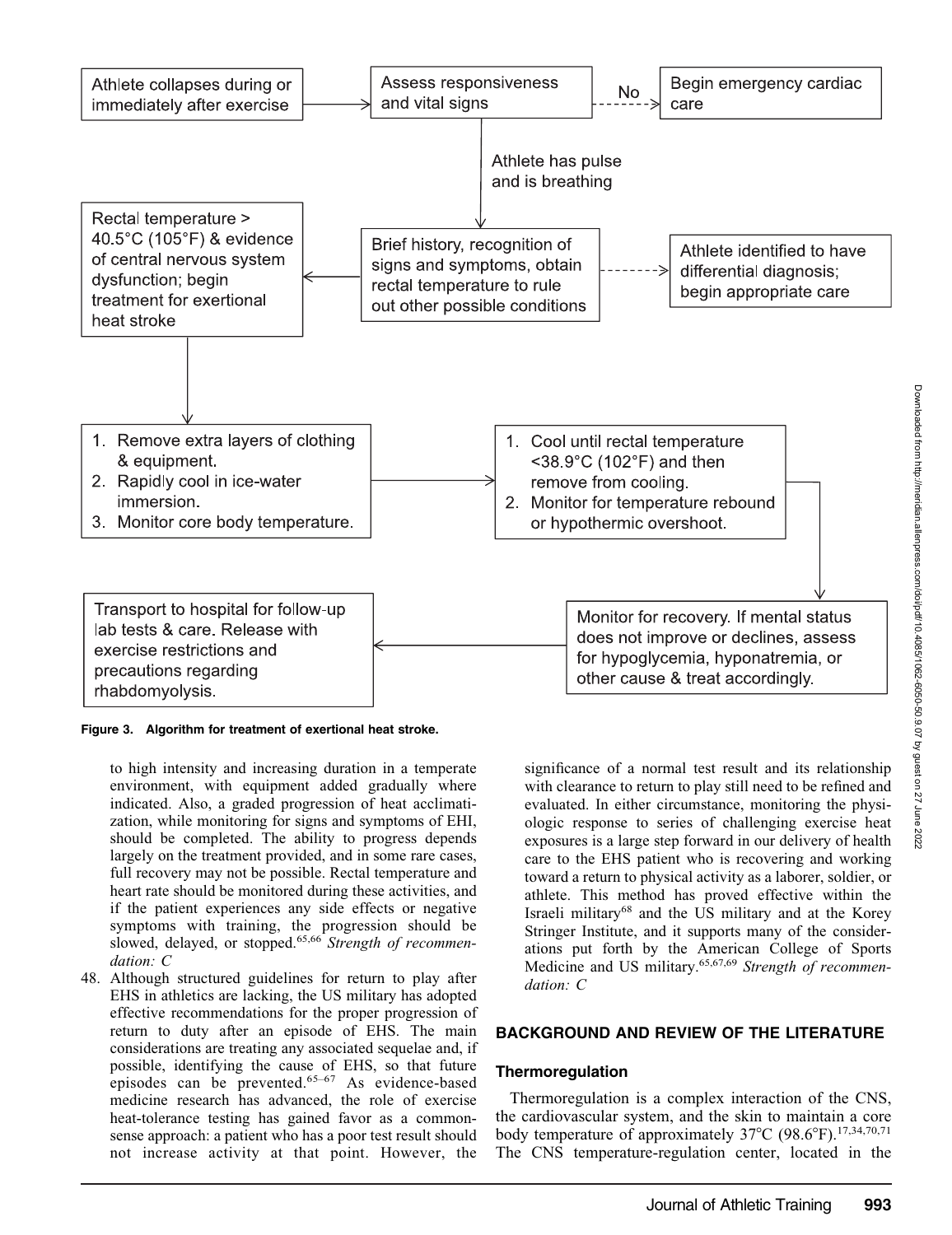

Figure 3. Algorithm for treatment of exertional heat stroke.

to high intensity and increasing duration in a temperate environment, with equipment added gradually where indicated. Also, a graded progression of heat acclimatization, while monitoring for signs and symptoms of EHI, should be completed. The ability to progress depends largely on the treatment provided, and in some rare cases, full recovery may not be possible. Rectal temperature and heart rate should be monitored during these activities, and if the patient experiences any side effects or negative symptoms with training, the progression should be slowed, delayed, or stopped.<sup>65,66</sup> Strength of recommendation: C

48. Although structured guidelines for return to play after EHS in athletics are lacking, the US military has adopted effective recommendations for the proper progression of return to duty after an episode of EHS. The main considerations are treating any associated sequelae and, if possible, identifying the cause of EHS, so that future episodes can be prevented.65–67 As evidence-based medicine research has advanced, the role of exercise heat-tolerance testing has gained favor as a commonsense approach: a patient who has a poor test result should not increase activity at that point. However, the

significance of a normal test result and its relationship with clearance to return to play still need to be refined and evaluated. In either circumstance, monitoring the physiologic response to series of challenging exercise heat exposures is a large step forward in our delivery of health care to the EHS patient who is recovering and working toward a return to physical activity as a laborer, soldier, or athlete. This method has proved effective within the Israeli military<sup>68</sup> and the US military and at the Korey Stringer Institute, and it supports many of the considerations put forth by the American College of Sports Medicine and US military.<sup>65,67,69</sup> Strength of recommendation: C

#### BACKGROUND AND REVIEW OF THE LITERATURE

#### **Thermoregulation**

Thermoregulation is a complex interaction of the CNS, the cardiovascular system, and the skin to maintain a core body temperature of approximately  $37^{\circ}$ C (98.6°F).<sup>17,34,70,71</sup> The CNS temperature-regulation center, located in the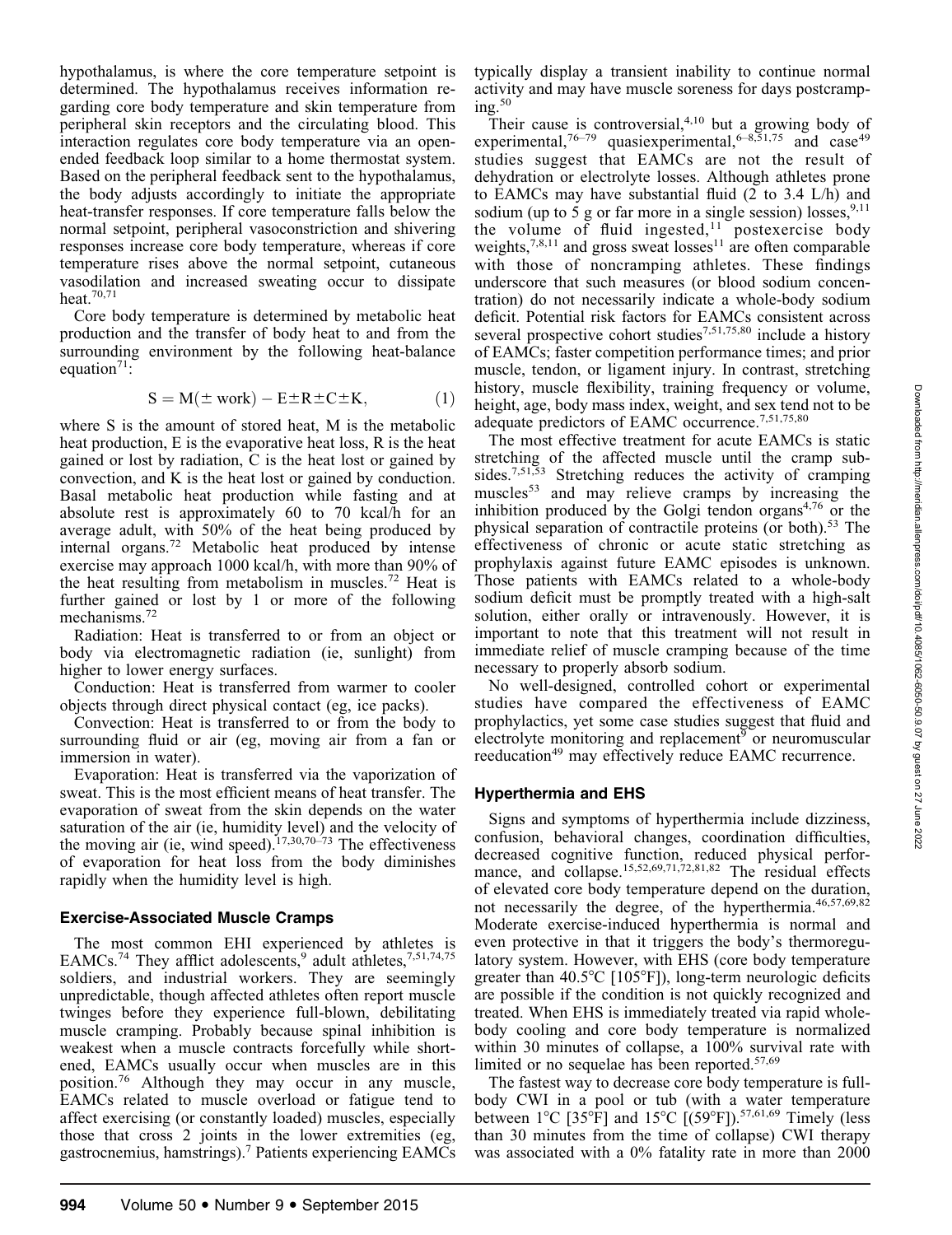hypothalamus, is where the core temperature setpoint is determined. The hypothalamus receives information regarding core body temperature and skin temperature from peripheral skin receptors and the circulating blood. This interaction regulates core body temperature via an openended feedback loop similar to a home thermostat system. Based on the peripheral feedback sent to the hypothalamus, the body adjusts accordingly to initiate the appropriate heat-transfer responses. If core temperature falls below the normal setpoint, peripheral vasoconstriction and shivering responses increase core body temperature, whereas if core temperature rises above the normal setpoint, cutaneous vasodilation and increased sweating occur to dissipate heat.70,71

Core body temperature is determined by metabolic heat production and the transfer of body heat to and from the surrounding environment by the following heat-balance equation<sup>71</sup>:

$$
S = M(\pm \text{ work}) - E \pm R \pm C \pm K, \tag{1}
$$

where S is the amount of stored heat, M is the metabolic heat production, E is the evaporative heat loss, R is the heat gained or lost by radiation, C is the heat lost or gained by convection, and K is the heat lost or gained by conduction. Basal metabolic heat production while fasting and at absolute rest is approximately 60 to 70 kcal/h for an average adult, with 50% of the heat being produced by internal organs.<sup>72</sup> Metabolic heat produced by intense exercise may approach 1000 kcal/h, with more than 90% of the heat resulting from metabolism in muscles.<sup>72</sup> Heat is further gained or lost by 1 or more of the following mechanisms.72

Radiation: Heat is transferred to or from an object or body via electromagnetic radiation (ie, sunlight) from higher to lower energy surfaces.

Conduction: Heat is transferred from warmer to cooler objects through direct physical contact (eg, ice packs).

Convection: Heat is transferred to or from the body to surrounding fluid or air (eg, moving air from a fan or immersion in water).

Evaporation: Heat is transferred via the vaporization of sweat. This is the most efficient means of heat transfer. The evaporation of sweat from the skin depends on the water saturation of the air (ie, humidity level) and the velocity of the moving air (ie, wind speed).<sup>17,30,70–73</sup> The effectiveness of evaporation for heat loss from the body diminishes rapidly when the humidity level is high.

#### Exercise-Associated Muscle Cramps

The most common EHI experienced by athletes is EAMCs.<sup>74</sup> They afflict adolescents,<sup>9</sup> adult athletes,<sup>7,51,74,75</sup> soldiers, and industrial workers. They are seemingly unpredictable, though affected athletes often report muscle twinges before they experience full-blown, debilitating muscle cramping. Probably because spinal inhibition is weakest when a muscle contracts forcefully while shortened, EAMCs usually occur when muscles are in this position.<sup>76</sup> Although they may occur in any muscle, EAMCs related to muscle overload or fatigue tend to affect exercising (or constantly loaded) muscles, especially those that cross 2 joints in the lower extremities (eg, gastrocnemius, hamstrings).7 Patients experiencing EAMCs

typically display a transient inability to continue normal activity and may have muscle soreness for days postcramp $ine.50$ 

Their cause is controversial,<sup>4,10</sup> but a growing body of experimental,<sup>76–79</sup> quasiexperimental,<sup>6–8,51,75</sup> and case<sup>49</sup> studies suggest that EAMCs are not the result of dehydration or electrolyte losses. Although athletes prone to EAMCs may have substantial fluid (2 to 3.4 L/h) and sodium (up to 5 g or far more in a single session) losses,  $9,11$ the volume of fluid ingested, $11$  postexercise body weights,<sup>7,8,11</sup> and gross sweat losses<sup>11</sup> are often comparable with those of noncramping athletes. These findings underscore that such measures (or blood sodium concentration) do not necessarily indicate a whole-body sodium deficit. Potential risk factors for EAMCs consistent across several prospective cohort studies<sup>7,51,75,80</sup> include a history of EAMCs; faster competition performance times; and prior muscle, tendon, or ligament injury. In contrast, stretching history, muscle flexibility, training frequency or volume, height, age, body mass index, weight, and sex tend not to be adequate predictors of EAMC occurrence.<sup>7,51,75,80</sup>

The most effective treatment for acute EAMCs is static stretching of the affected muscle until the cramp subsides.<sup>7,51,53</sup> Stretching reduces the activity of cramping muscles<sup>53</sup> and may relieve cramps by increasing the inhibition produced by the Golgi tendon organs $4,76$  or the physical separation of contractile proteins (or both).<sup>53</sup> The effectiveness of chronic or acute static stretching as prophylaxis against future EAMC episodes is unknown. Those patients with EAMCs related to a whole-body sodium deficit must be promptly treated with a high-salt solution, either orally or intravenously. However, it is important to note that this treatment will not result in immediate relief of muscle cramping because of the time necessary to properly absorb sodium.

No well-designed, controlled cohort or experimental studies have compared the effectiveness of EAMC prophylactics, yet some case studies suggest that fluid and electrolyte monitoring and replacement<sup>9</sup> or neuromuscular reeducation<sup>49</sup> may effectively reduce EAMC recurrence.

#### Hyperthermia and EHS

Signs and symptoms of hyperthermia include dizziness, confusion, behavioral changes, coordination difficulties, decreased cognitive function, reduced physical performance, and collapse.<sup>15,52,69,71,72,81,82</sup> The residual effects of elevated core body temperature depend on the duration, not necessarily the degree, of the hyperthermia.<sup>46,57,69,82</sup> Moderate exercise-induced hyperthermia is normal and even protective in that it triggers the body's thermoregulatory system. However, with EHS (core body temperature greater than  $40.5^{\circ}C$  [105 $^{\circ}F$ ]), long-term neurologic deficits are possible if the condition is not quickly recognized and treated. When EHS is immediately treated via rapid wholebody cooling and core body temperature is normalized within 30 minutes of collapse, a 100% survival rate with limited or no sequelae has been reported.<sup>57,69</sup>

The fastest way to decrease core body temperature is fullbody CWI in a pool or tub (with a water temperature between  $1^{\circ}$ C [35<sup>°</sup>F] and  $15^{\circ}$ C [(59<sup>°</sup>F]).<sup>57,61,69</sup> Timely (less than 30 minutes from the time of collapse) CWI therapy was associated with a 0% fatality rate in more than 2000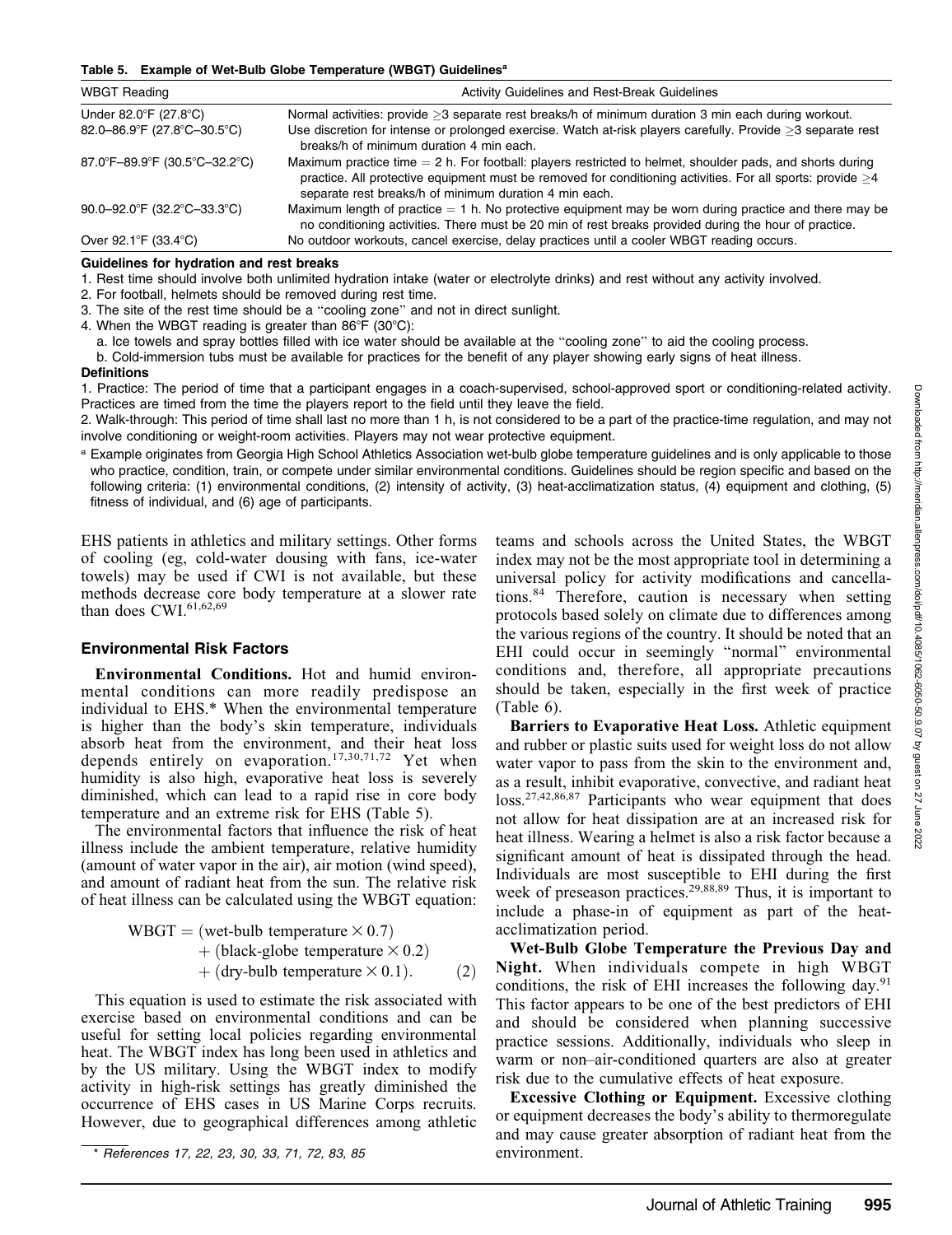#### Table 5. Example of Wet-Bulb Globe Temperature (WBGT) Guidelines<sup>a</sup>

| <b>WBGT Reading</b>           | Activity Guidelines and Rest-Break Guidelines                                                                                                                                                                                                                                             |  |
|-------------------------------|-------------------------------------------------------------------------------------------------------------------------------------------------------------------------------------------------------------------------------------------------------------------------------------------|--|
| Under 82.0°F (27.8°C)         | Normal activities: provide >3 separate rest breaks/h of minimum duration 3 min each during workout.                                                                                                                                                                                       |  |
| 82.0-86.9°F (27.8°C-30.5°C)   | Use discretion for intense or prolonged exercise. Watch at-risk players carefully. Provide >3 separate rest<br>breaks/h of minimum duration 4 min each.                                                                                                                                   |  |
| 87.0°F-89.9°F (30.5°C-32.2°C) | Maximum practice time $= 2$ h. For football: players restricted to helmet, shoulder pads, and shorts during<br>practice. All protective equipment must be removed for conditioning activities. For all sports: provide $\geq 4$<br>separate rest breaks/h of minimum duration 4 min each. |  |
| 90.0-92.0°F (32.2°C-33.3°C)   | Maximum length of practice $= 1$ h. No protective equipment may be worn during practice and there may be<br>no conditioning activities. There must be 20 min of rest breaks provided during the hour of practice.                                                                         |  |
| Over 92.1°F (33.4°C)          | No outdoor workouts, cancel exercise, delay practices until a cooler WBGT reading occurs.                                                                                                                                                                                                 |  |

#### Guidelines for hydration and rest breaks

1. Rest time should involve both unlimited hydration intake (water or electrolyte drinks) and rest without any activity involved.

- 2. For football, helmets should be removed during rest time.
- 3. The site of the rest time should be a ''cooling zone'' and not in direct sunlight.
- 4. When the WBGT reading is greater than  $86^{\circ}F$  (30 $^{\circ}C$ ):

a. Ice towels and spray bottles filled with ice water should be available at the ''cooling zone'' to aid the cooling process.

b. Cold-immersion tubs must be available for practices for the benefit of any player showing early signs of heat illness.

#### **Definitions**

1. Practice: The period of time that a participant engages in a coach-supervised, school-approved sport or conditioning-related activity. Practices are timed from the time the players report to the field until they leave the field.

2. Walk-through: This period of time shall last no more than 1 h, is not considered to be a part of the practice-time regulation, and may not involve conditioning or weight-room activities. Players may not wear protective equipment.

a Example originates from Georgia High School Athletics Association wet-bulb globe temperature guidelines and is only applicable to those who practice, condition, train, or compete under similar environmental conditions. Guidelines should be region specific and based on the following criteria: (1) environmental conditions, (2) intensity of activity, (3) heat-acclimatization status, (4) equipment and clothing, (5) fitness of individual, and (6) age of participants.

EHS patients in athletics and military settings. Other forms of cooling (eg, cold-water dousing with fans, ice-water towels) may be used if CWI is not available, but these methods decrease core body temperature at a slower rate than does CWI.<sup>61,62,69</sup>

#### Environmental Risk Factors

Environmental Conditions. Hot and humid environmental conditions can more readily predispose an individual to EHS.\* When the environmental temperature is higher than the body's skin temperature, individuals absorb heat from the environment, and their heat loss depends entirely on evaporation.<sup>17,30,71,72</sup> Yet when humidity is also high, evaporative heat loss is severely diminished, which can lead to a rapid rise in core body temperature and an extreme risk for EHS (Table 5).

The environmental factors that influence the risk of heat illness include the ambient temperature, relative humidity (amount of water vapor in the air), air motion (wind speed), and amount of radiant heat from the sun. The relative risk of heat illness can be calculated using the WBGT equation:

\n
$$
\text{WBGT} = (\text{wet-bulb temperature} \times 0.7) \\
+ (\text{black-globe temperature} \times 0.2) \\
+ (\text{dry-bulb temperature} \times 0.1).
$$
\n

This equation is used to estimate the risk associated with exercise based on environmental conditions and can be useful for setting local policies regarding environmental heat. The WBGT index has long been used in athletics and by the US military. Using the WBGT index to modify activity in high-risk settings has greatly diminished the occurrence of EHS cases in US Marine Corps recruits. However, due to geographical differences among athletic

\* References 17, 22, 23, 30, 33, 71, 72, 83, 85

teams and schools across the United States, the WBGT index may not be the most appropriate tool in determining a universal policy for activity modifications and cancellations.<sup>84</sup> Therefore, caution is necessary when setting protocols based solely on climate due to differences among the various regions of the country. It should be noted that an EHI could occur in seemingly ''normal'' environmental conditions and, therefore, all appropriate precautions should be taken, especially in the first week of practice (Table 6).

Barriers to Evaporative Heat Loss. Athletic equipment and rubber or plastic suits used for weight loss do not allow water vapor to pass from the skin to the environment and, as a result, inhibit evaporative, convective, and radiant heat loss.27,42,86,87 Participants who wear equipment that does not allow for heat dissipation are at an increased risk for heat illness. Wearing a helmet is also a risk factor because a significant amount of heat is dissipated through the head. Individuals are most susceptible to EHI during the first week of preseason practices.<sup>29,88,89</sup> Thus, it is important to include a phase-in of equipment as part of the heatacclimatization period.

Wet-Bulb Globe Temperature the Previous Day and Night. When individuals compete in high WBGT conditions, the risk of EHI increases the following day. $91$ This factor appears to be one of the best predictors of EHI and should be considered when planning successive practice sessions. Additionally, individuals who sleep in warm or non–air-conditioned quarters are also at greater risk due to the cumulative effects of heat exposure.

Excessive Clothing or Equipment. Excessive clothing or equipment decreases the body's ability to thermoregulate and may cause greater absorption of radiant heat from the environment.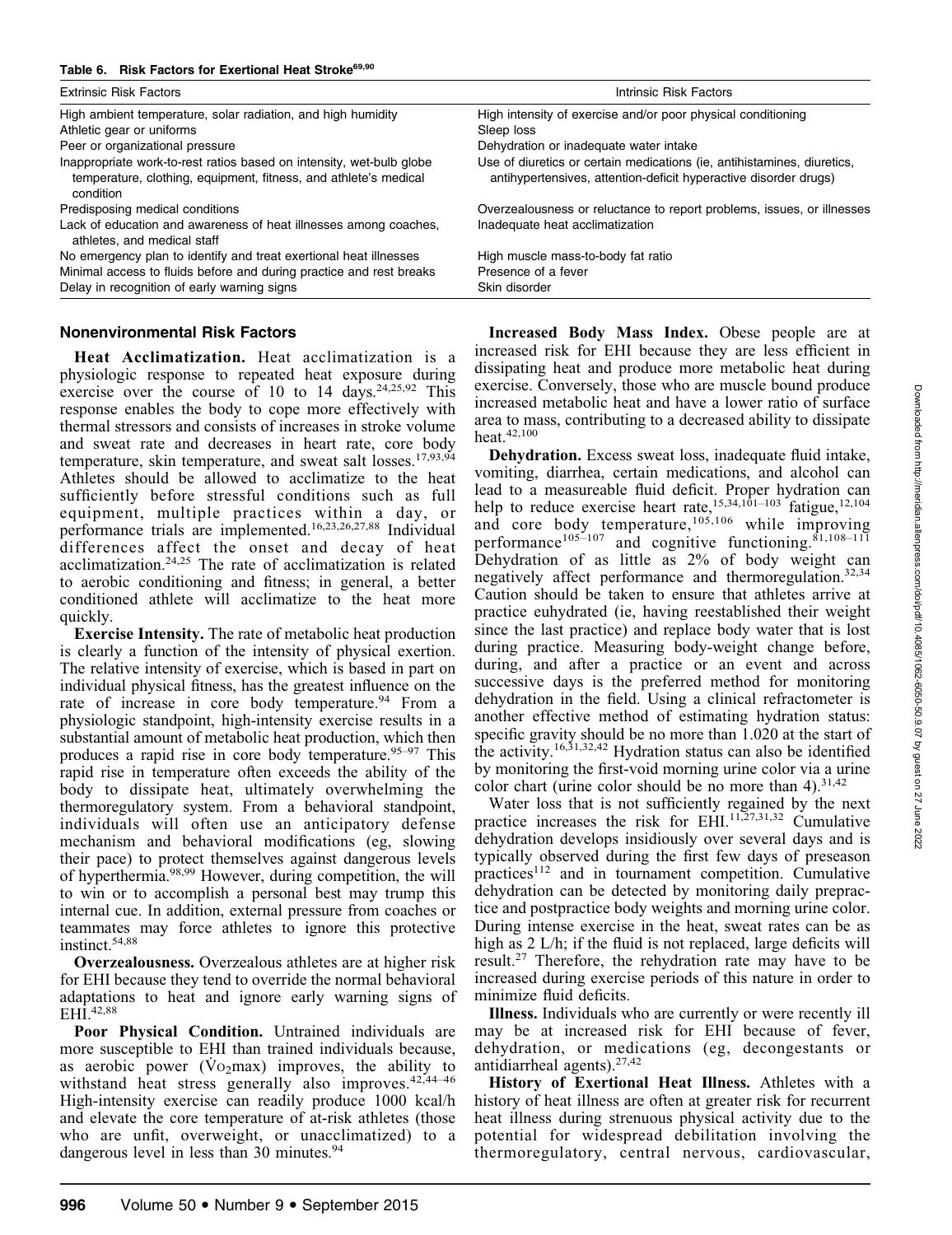| <b>Extrinsic Risk Factors</b>                                                                                                                         | Intrinsic Risk Factors                                                                                                                      |  |
|-------------------------------------------------------------------------------------------------------------------------------------------------------|---------------------------------------------------------------------------------------------------------------------------------------------|--|
| High ambient temperature, solar radiation, and high humidity                                                                                          | High intensity of exercise and/or poor physical conditioning                                                                                |  |
| Athletic gear or uniforms                                                                                                                             | Sleep loss                                                                                                                                  |  |
| Peer or organizational pressure                                                                                                                       | Dehydration or inadequate water intake                                                                                                      |  |
| Inappropriate work-to-rest ratios based on intensity, wet-bulb globe<br>temperature, clothing, equipment, fitness, and athlete's medical<br>condition | Use of diuretics or certain medications (ie, antihistamines, diuretics,<br>antihypertensives, attention-deficit hyperactive disorder drugs) |  |
| Predisposing medical conditions                                                                                                                       | Overzealousness or reluctance to report problems, issues, or illnesses                                                                      |  |
| Lack of education and awareness of heat illnesses among coaches,<br>athletes, and medical staff                                                       | Inadequate heat acclimatization                                                                                                             |  |
| No emergency plan to identify and treat exertional heat illnesses                                                                                     | High muscle mass-to-body fat ratio                                                                                                          |  |
| Minimal access to fluids before and during practice and rest breaks                                                                                   | Presence of a fever                                                                                                                         |  |
| Delay in recognition of early warning signs                                                                                                           | Skin disorder                                                                                                                               |  |

#### Nonenvironmental Risk Factors

Heat Acclimatization. Heat acclimatization is a physiologic response to repeated heat exposure during exercise over the course of 10 to 14 days.<sup>24,25,92</sup> This response enables the body to cope more effectively with thermal stressors and consists of increases in stroke volume and sweat rate and decreases in heart rate, core body temperature, skin temperature, and sweat salt losses.<sup>17,93,54</sup> Athletes should be allowed to acclimatize to the heat sufficiently before stressful conditions such as full equipment, multiple practices within a day, or performance trials are implemented.16,23,26,27,88 Individual differences affect the onset and decay of heat acclimatization.24,25 The rate of acclimatization is related to aerobic conditioning and fitness; in general, a better conditioned athlete will acclimatize to the heat more quickly.

Exercise Intensity. The rate of metabolic heat production is clearly a function of the intensity of physical exertion. The relative intensity of exercise, which is based in part on individual physical fitness, has the greatest influence on the rate of increase in core body temperature.<sup>94</sup> From a physiologic standpoint, high-intensity exercise results in a substantial amount of metabolic heat production, which then produces a rapid rise in core body temperature.  $95-97$  This rapid rise in temperature often exceeds the ability of the body to dissipate heat, ultimately overwhelming the thermoregulatory system. From a behavioral standpoint, individuals will often use an anticipatory defense mechanism and behavioral modifications (eg, slowing their pace) to protect themselves against dangerous levels of hyperthermia.98,99 However, during competition, the will to win or to accomplish a personal best may trump this internal cue. In addition, external pressure from coaches or teammates may force athletes to ignore this protective instinct.54,88

Overzealousness. Overzealous athletes are at higher risk for EHI because they tend to override the normal behavioral adaptations to heat and ignore early warning signs of EHI.<sup>42,88</sup>

Poor Physical Condition. Untrained individuals are more susceptible to EHI than trained individuals because, as aerobic power ( $\overline{V_{O2}}$ max) improves, the ability to withstand heat stress generally also improves.<sup>42,44-46</sup> High-intensity exercise can readily produce 1000 kcal/h and elevate the core temperature of at-risk athletes (those who are unfit, overweight, or unacclimatized) to a dangerous level in less than 30 minutes.<sup>94</sup>

Increased Body Mass Index. Obese people are at increased risk for EHI because they are less efficient in dissipating heat and produce more metabolic heat during exercise. Conversely, those who are muscle bound produce increased metabolic heat and have a lower ratio of surface area to mass, contributing to a decreased ability to dissipate heat.<sup>42,100</sup>

Dehydration. Excess sweat loss, inadequate fluid intake, vomiting, diarrhea, certain medications, and alcohol can lead to a measureable fluid deficit. Proper hydration can help to reduce exercise heart rate,<sup>15,34,101–103</sup> fatigue,<sup>12,104</sup> and core body temperature,  $105,106$  while improving performance<sup>105–107</sup> and cognitive functioning.<sup>81,108–111</sup> Dehydration of as little as 2% of body weight can negatively affect performance and thermoregulation.<sup>32,34</sup> Caution should be taken to ensure that athletes arrive at practice euhydrated (ie, having reestablished their weight since the last practice) and replace body water that is lost during practice. Measuring body-weight change before, during, and after a practice or an event and across successive days is the preferred method for monitoring dehydration in the field. Using a clinical refractometer is another effective method of estimating hydration status: specific gravity should be no more than 1.020 at the start of the activity.16,31,32,42 Hydration status can also be identified by monitoring the first-void morning urine color via a urine color chart (urine color should be no more than 4).  $31,42$ 

Water loss that is not sufficiently regained by the next practice increases the risk for EHI. $^{11,27,31,32}$  Cumulative dehydration develops insidiously over several days and is typically observed during the first few days of preseason practices<sup>112</sup> and in tournament competition. Cumulative dehydration can be detected by monitoring daily prepractice and postpractice body weights and morning urine color. During intense exercise in the heat, sweat rates can be as high as 2 L/h; if the fluid is not replaced, large deficits will result.27 Therefore, the rehydration rate may have to be increased during exercise periods of this nature in order to minimize fluid deficits.

Illness. Individuals who are currently or were recently ill may be at increased risk for EHI because of fever, dehydration, or medications (eg, decongestants or antidiarrheal agents). $27,42$ 

History of Exertional Heat Illness. Athletes with a history of heat illness are often at greater risk for recurrent heat illness during strenuous physical activity due to the potential for widespread debilitation involving the thermoregulatory, central nervous, cardiovascular,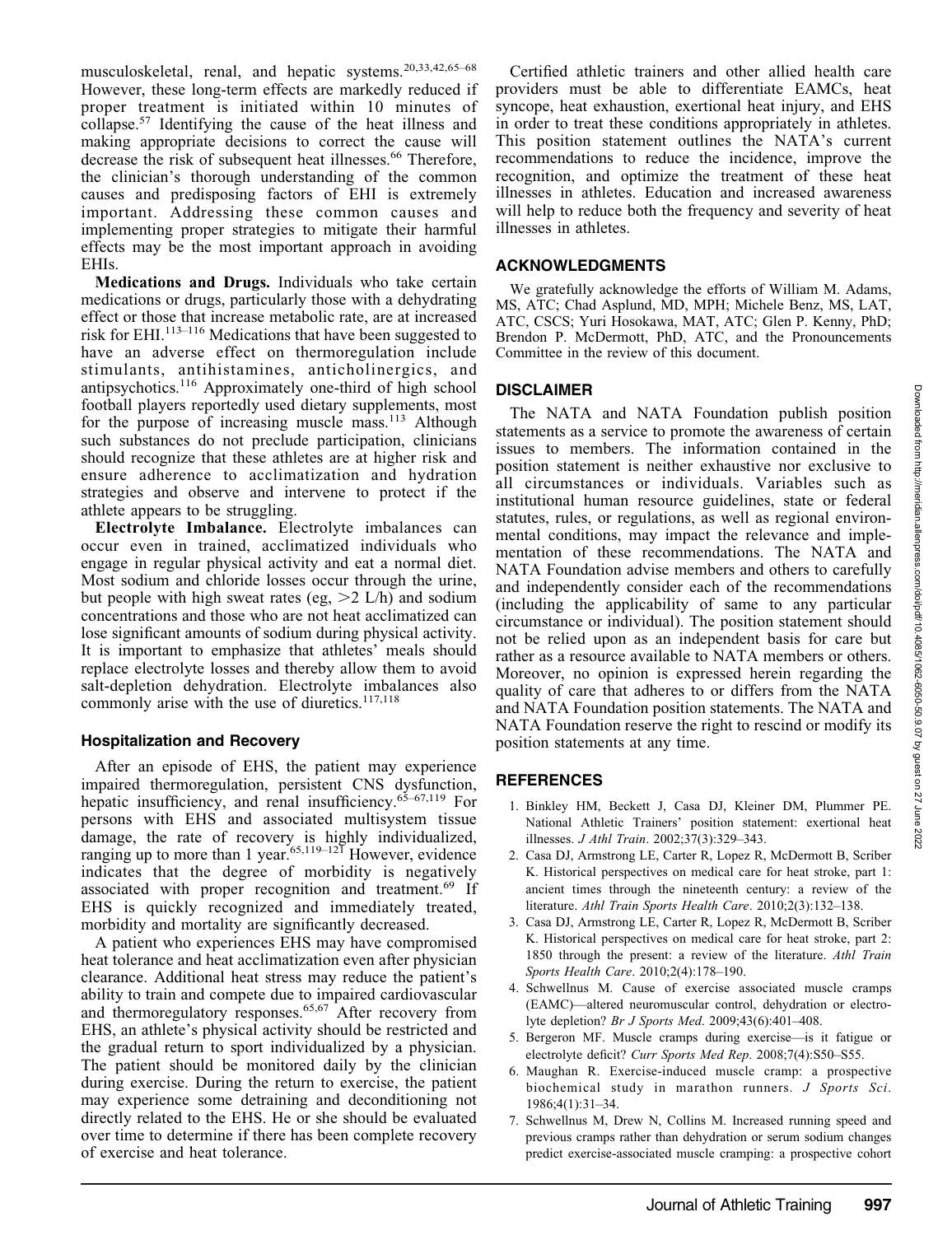musculoskeletal, renal, and hepatic systems.20,33,42,65–68 However, these long-term effects are markedly reduced if proper treatment is initiated within 10 minutes of collapse.<sup>57</sup> Identifying the cause of the heat illness and making appropriate decisions to correct the cause will decrease the risk of subsequent heat illnesses.<sup>66</sup> Therefore, the clinician's thorough understanding of the common causes and predisposing factors of EHI is extremely important. Addressing these common causes and implementing proper strategies to mitigate their harmful effects may be the most important approach in avoiding EHIs.

Medications and Drugs. Individuals who take certain medications or drugs, particularly those with a dehydrating effect or those that increase metabolic rate, are at increased risk for EHI.113–116 Medications that have been suggested to have an adverse effect on thermoregulation include stimulants, antihistamines, anticholinergics, and antipsychotics.116 Approximately one-third of high school football players reportedly used dietary supplements, most for the purpose of increasing muscle mass.<sup>113</sup> Although such substances do not preclude participation, clinicians should recognize that these athletes are at higher risk and ensure adherence to acclimatization and hydration strategies and observe and intervene to protect if the athlete appears to be struggling.

Electrolyte Imbalance. Electrolyte imbalances can occur even in trained, acclimatized individuals who engage in regular physical activity and eat a normal diet. Most sodium and chloride losses occur through the urine, but people with high sweat rates (eg,  $>2$  L/h) and sodium concentrations and those who are not heat acclimatized can lose significant amounts of sodium during physical activity. It is important to emphasize that athletes' meals should replace electrolyte losses and thereby allow them to avoid salt-depletion dehydration. Electrolyte imbalances also commonly arise with the use of diuretics.<sup>117,118</sup>

#### Hospitalization and Recovery

After an episode of EHS, the patient may experience impaired thermoregulation, persistent CNS dysfunction, hepatic insufficiency, and renal insufficiency.<sup>65–67,119</sup> For persons with EHS and associated multisystem tissue damage, the rate of recovery is highly individualized, ranging up to more than 1 year.<sup>65,119–121</sup> However, evidence indicates that the degree of morbidity is negatively associated with proper recognition and treatment.<sup>69</sup> If EHS is quickly recognized and immediately treated, morbidity and mortality are significantly decreased.

A patient who experiences EHS may have compromised heat tolerance and heat acclimatization even after physician clearance. Additional heat stress may reduce the patient's ability to train and compete due to impaired cardiovascular and thermoregulatory responses.<sup>65,67</sup> After recovery from EHS, an athlete's physical activity should be restricted and the gradual return to sport individualized by a physician. The patient should be monitored daily by the clinician during exercise. During the return to exercise, the patient may experience some detraining and deconditioning not directly related to the EHS. He or she should be evaluated over time to determine if there has been complete recovery of exercise and heat tolerance.

Certified athletic trainers and other allied health care providers must be able to differentiate EAMCs, heat syncope, heat exhaustion, exertional heat injury, and EHS in order to treat these conditions appropriately in athletes. This position statement outlines the NATA's current recommendations to reduce the incidence, improve the recognition, and optimize the treatment of these heat illnesses in athletes. Education and increased awareness will help to reduce both the frequency and severity of heat illnesses in athletes.

#### ACKNOWLEDGMENTS

We gratefully acknowledge the efforts of William M. Adams, MS, ATC; Chad Asplund, MD, MPH; Michele Benz, MS, LAT, ATC, CSCS; Yuri Hosokawa, MAT, ATC; Glen P. Kenny, PhD; Brendon P. McDermott, PhD, ATC, and the Pronouncements Committee in the review of this document.

#### **DISCLAIMER**

The NATA and NATA Foundation publish position statements as a service to promote the awareness of certain issues to members. The information contained in the position statement is neither exhaustive nor exclusive to all circumstances or individuals. Variables such as institutional human resource guidelines, state or federal statutes, rules, or regulations, as well as regional environmental conditions, may impact the relevance and implementation of these recommendations. The NATA and NATA Foundation advise members and others to carefully and independently consider each of the recommendations (including the applicability of same to any particular circumstance or individual). The position statement should not be relied upon as an independent basis for care but rather as a resource available to NATA members or others. Moreover, no opinion is expressed herein regarding the quality of care that adheres to or differs from the NATA and NATA Foundation position statements. The NATA and NATA Foundation reserve the right to rescind or modify its position statements at any time.

# REFERENCES

- 1. Binkley HM, Beckett J, Casa DJ, Kleiner DM, Plummer PE. National Athletic Trainers' position statement: exertional heat illnesses. J Athl Train. 2002;37(3):329–343.
- 2. Casa DJ, Armstrong LE, Carter R, Lopez R, McDermott B, Scriber K. Historical perspectives on medical care for heat stroke, part 1: ancient times through the nineteenth century: a review of the literature. Athl Train Sports Health Care. 2010;2(3):132–138.
- 3. Casa DJ, Armstrong LE, Carter R, Lopez R, McDermott B, Scriber K. Historical perspectives on medical care for heat stroke, part 2: 1850 through the present: a review of the literature. Athl Train Sports Health Care. 2010;2(4):178–190.
- 4. Schwellnus M. Cause of exercise associated muscle cramps (EAMC)—altered neuromuscular control, dehydration or electrolyte depletion? Br J Sports Med. 2009;43(6):401-408.
- 5. Bergeron MF. Muscle cramps during exercise—is it fatigue or electrolyte deficit? Curr Sports Med Rep. 2008;7(4):S50–S55.
- 6. Maughan R. Exercise-induced muscle cramp: a prospective biochemical study in marathon runners. J Sports Sci. 1986;4(1):31–34.
- 7. Schwellnus M, Drew N, Collins M. Increased running speed and previous cramps rather than dehydration or serum sodium changes predict exercise-associated muscle cramping: a prospective cohort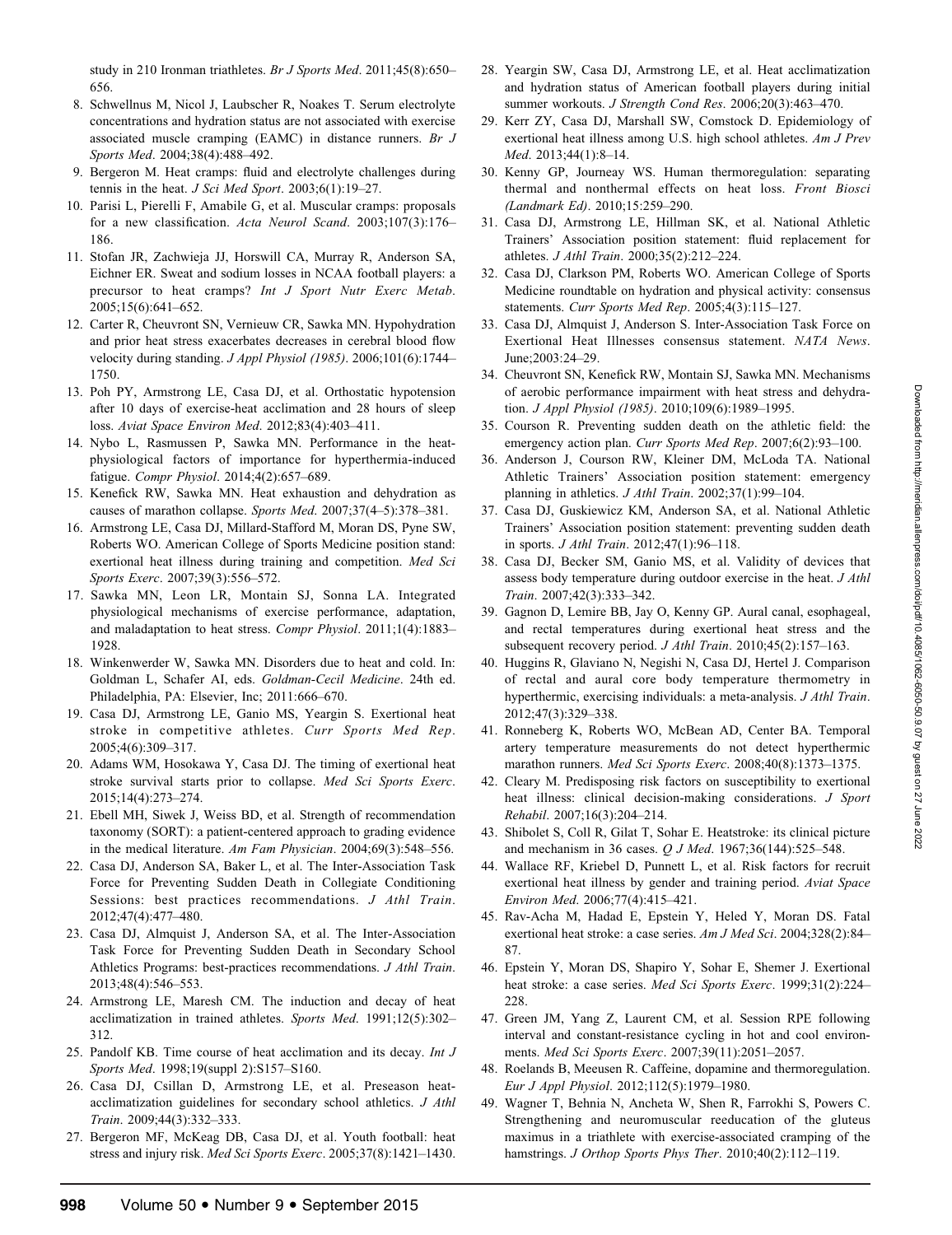- 8. Schwellnus M, Nicol J, Laubscher R, Noakes T. Serum electrolyte concentrations and hydration status are not associated with exercise associated muscle cramping (EAMC) in distance runners. Br J Sports Med. 2004;38(4):488–492.
- 9. Bergeron M. Heat cramps: fluid and electrolyte challenges during tennis in the heat. *J Sci Med Sport.* 2003;6(1):19-27.
- 10. Parisi L, Pierelli F, Amabile G, et al. Muscular cramps: proposals for a new classification. Acta Neurol Scand. 2003;107(3):176– 186.
- 11. Stofan JR, Zachwieja JJ, Horswill CA, Murray R, Anderson SA, Eichner ER. Sweat and sodium losses in NCAA football players: a precursor to heat cramps? Int J Sport Nutr Exerc Metab. 2005;15(6):641–652.
- 12. Carter R, Cheuvront SN, Vernieuw CR, Sawka MN. Hypohydration and prior heat stress exacerbates decreases in cerebral blood flow velocity during standing. J Appl Physiol (1985). 2006;101(6):1744– 1750.
- 13. Poh PY, Armstrong LE, Casa DJ, et al. Orthostatic hypotension after 10 days of exercise-heat acclimation and 28 hours of sleep loss. Aviat Space Environ Med. 2012;83(4):403–411.
- 14. Nybo L, Rasmussen P, Sawka MN. Performance in the heatphysiological factors of importance for hyperthermia-induced fatigue. Compr Physiol. 2014;4(2):657–689.
- 15. Kenefick RW, Sawka MN. Heat exhaustion and dehydration as causes of marathon collapse. Sports Med. 2007;37(4–5):378–381.
- 16. Armstrong LE, Casa DJ, Millard-Stafford M, Moran DS, Pyne SW, Roberts WO. American College of Sports Medicine position stand: exertional heat illness during training and competition. Med Sci Sports Exerc. 2007;39(3):556–572.
- 17. Sawka MN, Leon LR, Montain SJ, Sonna LA. Integrated physiological mechanisms of exercise performance, adaptation, and maladaptation to heat stress. Compr Physiol. 2011;1(4):1883– 1928.
- 18. Winkenwerder W, Sawka MN. Disorders due to heat and cold. In: Goldman L, Schafer AI, eds. Goldman-Cecil Medicine. 24th ed. Philadelphia, PA: Elsevier, Inc; 2011:666–670.
- 19. Casa DJ, Armstrong LE, Ganio MS, Yeargin S. Exertional heat stroke in competitive athletes. Curr Sports Med Rep. 2005;4(6):309–317.
- 20. Adams WM, Hosokawa Y, Casa DJ. The timing of exertional heat stroke survival starts prior to collapse. Med Sci Sports Exerc. 2015;14(4):273–274.
- 21. Ebell MH, Siwek J, Weiss BD, et al. Strength of recommendation taxonomy (SORT): a patient-centered approach to grading evidence in the medical literature. Am Fam Physician. 2004;69(3):548–556.
- 22. Casa DJ, Anderson SA, Baker L, et al. The Inter-Association Task Force for Preventing Sudden Death in Collegiate Conditioning Sessions: best practices recommendations. J Athl Train. 2012;47(4):477–480.
- 23. Casa DJ, Almquist J, Anderson SA, et al. The Inter-Association Task Force for Preventing Sudden Death in Secondary School Athletics Programs: best-practices recommendations. J Athl Train. 2013;48(4):546–553.
- 24. Armstrong LE, Maresh CM. The induction and decay of heat acclimatization in trained athletes. Sports Med. 1991;12(5):302– 312.
- 25. Pandolf KB. Time course of heat acclimation and its decay. Int J Sports Med. 1998;19(suppl 2):S157–S160.
- 26. Casa DJ, Csillan D, Armstrong LE, et al. Preseason heatacclimatization guidelines for secondary school athletics. J Athl Train. 2009;44(3):332–333.
- 27. Bergeron MF, McKeag DB, Casa DJ, et al. Youth football: heat stress and injury risk. Med Sci Sports Exerc. 2005;37(8):1421–1430.
- 28. Yeargin SW, Casa DJ, Armstrong LE, et al. Heat acclimatization and hydration status of American football players during initial summer workouts. J Strength Cond Res. 2006;20(3):463–470.
- 29. Kerr ZY, Casa DJ, Marshall SW, Comstock D. Epidemiology of exertional heat illness among U.S. high school athletes. Am J Prev Med. 2013;44(1):8–14.
- 30. Kenny GP, Journeay WS. Human thermoregulation: separating thermal and nonthermal effects on heat loss. Front Biosci (Landmark Ed). 2010;15:259–290.
- 31. Casa DJ, Armstrong LE, Hillman SK, et al. National Athletic Trainers' Association position statement: fluid replacement for athletes. J Athl Train. 2000;35(2):212–224.
- 32. Casa DJ, Clarkson PM, Roberts WO. American College of Sports Medicine roundtable on hydration and physical activity: consensus statements. Curr Sports Med Rep. 2005;4(3):115–127.
- 33. Casa DJ, Almquist J, Anderson S. Inter-Association Task Force on Exertional Heat Illnesses consensus statement. NATA News. June;2003:24–29.
- 34. Cheuvront SN, Kenefick RW, Montain SJ, Sawka MN. Mechanisms of aerobic performance impairment with heat stress and dehydration. J Appl Physiol (1985). 2010;109(6):1989–1995.
- 35. Courson R. Preventing sudden death on the athletic field: the emergency action plan. Curr Sports Med Rep. 2007;6(2):93-100.
- 36. Anderson J, Courson RW, Kleiner DM, McLoda TA. National Athletic Trainers' Association position statement: emergency planning in athletics.  $J$  Athl Train. 2002;37(1):99-104.
- 37. Casa DJ, Guskiewicz KM, Anderson SA, et al. National Athletic Trainers' Association position statement: preventing sudden death in sports. J Athl Train. 2012;47(1):96–118.
- 38. Casa DJ, Becker SM, Ganio MS, et al. Validity of devices that assess body temperature during outdoor exercise in the heat. J Athl Train. 2007;42(3):333–342.
- 39. Gagnon D, Lemire BB, Jay O, Kenny GP. Aural canal, esophageal, and rectal temperatures during exertional heat stress and the subsequent recovery period. J Athl Train. 2010;45(2):157-163.
- 40. Huggins R, Glaviano N, Negishi N, Casa DJ, Hertel J. Comparison of rectal and aural core body temperature thermometry in hyperthermic, exercising individuals: a meta-analysis. J Athl Train. 2012;47(3):329–338.
- 41. Ronneberg K, Roberts WO, McBean AD, Center BA. Temporal artery temperature measurements do not detect hyperthermic marathon runners. Med Sci Sports Exerc. 2008;40(8):1373–1375.
- 42. Cleary M. Predisposing risk factors on susceptibility to exertional heat illness: clinical decision-making considerations. J Sport Rehabil. 2007;16(3):204–214.
- 43. Shibolet S, Coll R, Gilat T, Sohar E. Heatstroke: its clinical picture and mechanism in 36 cases. Q J Med. 1967;36(144):525–548.
- 44. Wallace RF, Kriebel D, Punnett L, et al. Risk factors for recruit exertional heat illness by gender and training period. Aviat Space Environ Med. 2006;77(4):415–421.
- 45. Rav-Acha M, Hadad E, Epstein Y, Heled Y, Moran DS. Fatal exertional heat stroke: a case series. Am J Med Sci. 2004;328(2):84-87.
- 46. Epstein Y, Moran DS, Shapiro Y, Sohar E, Shemer J. Exertional heat stroke: a case series. Med Sci Sports Exerc. 1999;31(2):224-228.
- 47. Green JM, Yang Z, Laurent CM, et al. Session RPE following interval and constant-resistance cycling in hot and cool environments. Med Sci Sports Exerc. 2007;39(11):2051–2057.
- 48. Roelands B, Meeusen R. Caffeine, dopamine and thermoregulation. Eur J Appl Physiol. 2012;112(5):1979–1980.
- 49. Wagner T, Behnia N, Ancheta W, Shen R, Farrokhi S, Powers C. Strengthening and neuromuscular reeducation of the gluteus maximus in a triathlete with exercise-associated cramping of the hamstrings. J Orthop Sports Phys Ther. 2010;40(2):112-119.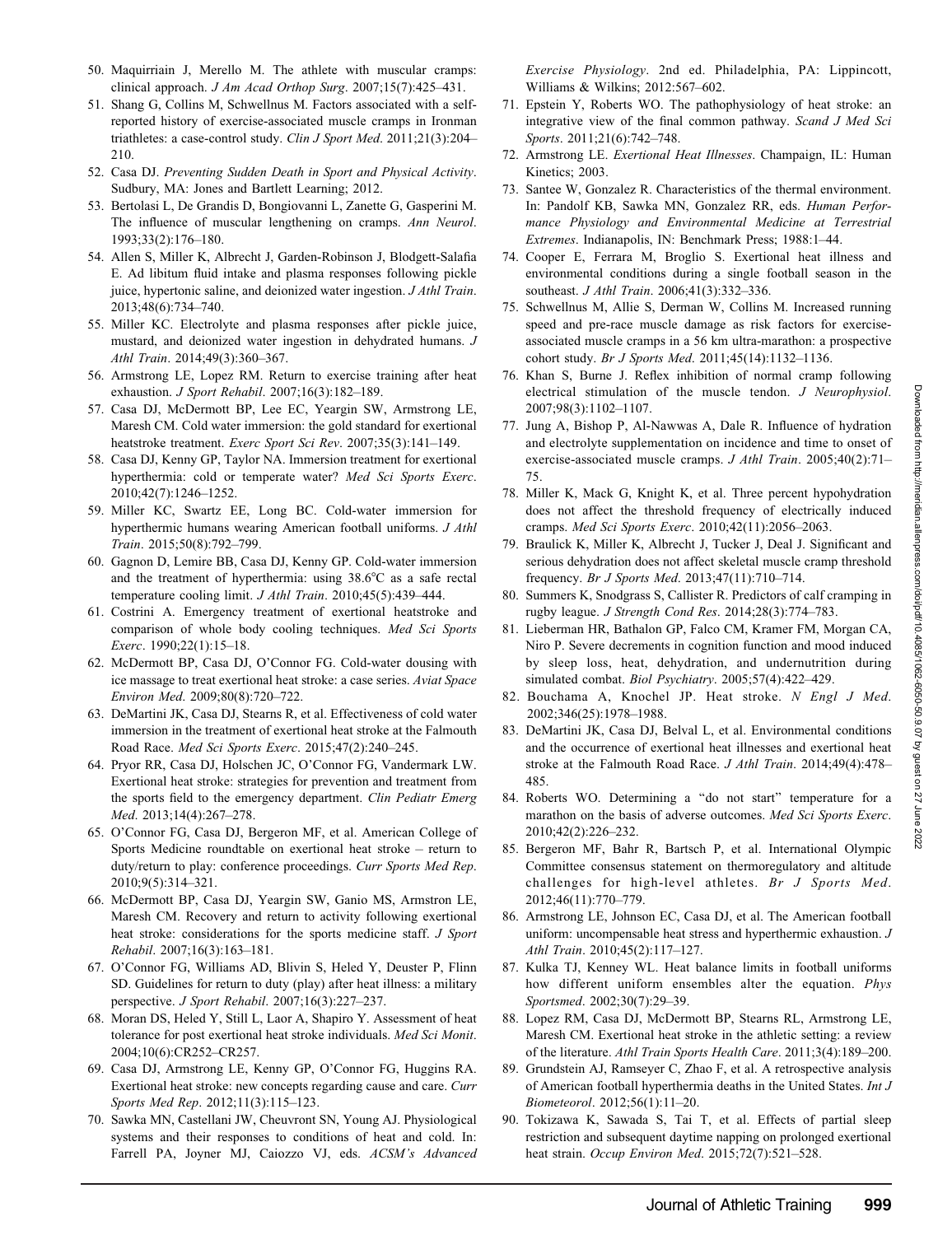- 50. Maquirriain J, Merello M. The athlete with muscular cramps: clinical approach. J Am Acad Orthop Surg. 2007;15(7):425-431.
- 51. Shang G, Collins M, Schwellnus M. Factors associated with a selfreported history of exercise-associated muscle cramps in Ironman triathletes: a case-control study. Clin J Sport Med. 2011;21(3):204– 210.
- 52. Casa DJ. Preventing Sudden Death in Sport and Physical Activity. Sudbury, MA: Jones and Bartlett Learning; 2012.
- 53. Bertolasi L, De Grandis D, Bongiovanni L, Zanette G, Gasperini M. The influence of muscular lengthening on cramps. Ann Neurol. 1993;33(2):176–180.
- 54. Allen S, Miller K, Albrecht J, Garden-Robinson J, Blodgett-Salafia E. Ad libitum fluid intake and plasma responses following pickle juice, hypertonic saline, and deionized water ingestion. J Athl Train. 2013;48(6):734–740.
- 55. Miller KC. Electrolyte and plasma responses after pickle juice, mustard, and deionized water ingestion in dehydrated humans. J Athl Train. 2014;49(3):360–367.
- 56. Armstrong LE, Lopez RM. Return to exercise training after heat exhaustion. J Sport Rehabil. 2007;16(3):182–189.
- 57. Casa DJ, McDermott BP, Lee EC, Yeargin SW, Armstrong LE, Maresh CM. Cold water immersion: the gold standard for exertional heatstroke treatment. Exerc Sport Sci Rev. 2007;35(3):141-149.
- 58. Casa DJ, Kenny GP, Taylor NA. Immersion treatment for exertional hyperthermia: cold or temperate water? Med Sci Sports Exerc. 2010;42(7):1246–1252.
- 59. Miller KC, Swartz EE, Long BC. Cold-water immersion for hyperthermic humans wearing American football uniforms. J Athl Train. 2015;50(8):792–799.
- 60. Gagnon D, Lemire BB, Casa DJ, Kenny GP. Cold-water immersion and the treatment of hyperthermia: using  $38.6^{\circ}$ C as a safe rectal temperature cooling limit. J Athl Train. 2010;45(5):439–444.
- 61. Costrini A. Emergency treatment of exertional heatstroke and comparison of whole body cooling techniques. Med Sci Sports Exerc. 1990;22(1):15–18.
- 62. McDermott BP, Casa DJ, O'Connor FG. Cold-water dousing with ice massage to treat exertional heat stroke: a case series. Aviat Space Environ Med. 2009;80(8):720–722.
- 63. DeMartini JK, Casa DJ, Stearns R, et al. Effectiveness of cold water immersion in the treatment of exertional heat stroke at the Falmouth Road Race. Med Sci Sports Exerc. 2015;47(2):240–245.
- 64. Pryor RR, Casa DJ, Holschen JC, O'Connor FG, Vandermark LW. Exertional heat stroke: strategies for prevention and treatment from the sports field to the emergency department. Clin Pediatr Emerg Med. 2013;14(4):267-278.
- 65. O'Connor FG, Casa DJ, Bergeron MF, et al. American College of Sports Medicine roundtable on exertional heat stroke – return to duty/return to play: conference proceedings. Curr Sports Med Rep. 2010;9(5):314–321.
- 66. McDermott BP, Casa DJ, Yeargin SW, Ganio MS, Armstron LE, Maresh CM. Recovery and return to activity following exertional heat stroke: considerations for the sports medicine staff. J Sport Rehabil. 2007;16(3):163–181.
- 67. O'Connor FG, Williams AD, Blivin S, Heled Y, Deuster P, Flinn SD. Guidelines for return to duty (play) after heat illness: a military perspective. J Sport Rehabil. 2007;16(3):227–237.
- 68. Moran DS, Heled Y, Still L, Laor A, Shapiro Y. Assessment of heat tolerance for post exertional heat stroke individuals. Med Sci Monit. 2004;10(6):CR252–CR257.
- 69. Casa DJ, Armstrong LE, Kenny GP, O'Connor FG, Huggins RA. Exertional heat stroke: new concepts regarding cause and care. Curr Sports Med Rep. 2012;11(3):115-123.
- 70. Sawka MN, Castellani JW, Cheuvront SN, Young AJ. Physiological systems and their responses to conditions of heat and cold. In: Farrell PA, Joyner MJ, Caiozzo VJ, eds. ACSM's Advanced

Exercise Physiology. 2nd ed. Philadelphia, PA: Lippincott, Williams & Wilkins; 2012:567–602.

- 71. Epstein Y, Roberts WO. The pathophysiology of heat stroke: an integrative view of the final common pathway. Scand J Med Sci Sports. 2011;21(6):742-748.
- 72. Armstrong LE. Exertional Heat Illnesses. Champaign, IL: Human Kinetics; 2003.
- 73. Santee W, Gonzalez R. Characteristics of the thermal environment. In: Pandolf KB, Sawka MN, Gonzalez RR, eds. Human Performance Physiology and Environmental Medicine at Terrestrial Extremes. Indianapolis, IN: Benchmark Press; 1988:1–44.
- 74. Cooper E, Ferrara M, Broglio S. Exertional heat illness and environmental conditions during a single football season in the southeast. J Athl Train. 2006;41(3):332–336.
- 75. Schwellnus M, Allie S, Derman W, Collins M. Increased running speed and pre-race muscle damage as risk factors for exerciseassociated muscle cramps in a 56 km ultra-marathon: a prospective cohort study. Br J Sports Med. 2011;45(14):1132–1136.
- 76. Khan S, Burne J. Reflex inhibition of normal cramp following electrical stimulation of the muscle tendon. J Neurophysiol. 2007;98(3):1102–1107.
- 77. Jung A, Bishop P, Al-Nawwas A, Dale R. Influence of hydration and electrolyte supplementation on incidence and time to onset of exercise-associated muscle cramps. J Athl Train. 2005;40(2):71– 75.
- 78. Miller K, Mack G, Knight K, et al. Three percent hypohydration does not affect the threshold frequency of electrically induced cramps. Med Sci Sports Exerc. 2010;42(11):2056–2063.
- 79. Braulick K, Miller K, Albrecht J, Tucker J, Deal J. Significant and serious dehydration does not affect skeletal muscle cramp threshold frequency. Br J Sports Med. 2013;47(11):710-714.
- 80. Summers K, Snodgrass S, Callister R. Predictors of calf cramping in rugby league. J Strength Cond Res. 2014;28(3):774–783.
- 81. Lieberman HR, Bathalon GP, Falco CM, Kramer FM, Morgan CA, Niro P. Severe decrements in cognition function and mood induced by sleep loss, heat, dehydration, and undernutrition during simulated combat. Biol Psychiatry. 2005;57(4):422–429.
- 82. Bouchama A, Knochel JP. Heat stroke. N Engl J Med. 2002;346(25):1978–1988.
- 83. DeMartini JK, Casa DJ, Belval L, et al. Environmental conditions and the occurrence of exertional heat illnesses and exertional heat stroke at the Falmouth Road Race. J Athl Train. 2014;49(4):478– 485.
- 84. Roberts WO. Determining a ''do not start'' temperature for a marathon on the basis of adverse outcomes. Med Sci Sports Exerc. 2010;42(2):226–232.
- 85. Bergeron MF, Bahr R, Bartsch P, et al. International Olympic Committee consensus statement on thermoregulatory and altitude challenges for high-level athletes. Br J Sports Med. 2012;46(11):770–779.
- 86. Armstrong LE, Johnson EC, Casa DJ, et al. The American football uniform: uncompensable heat stress and hyperthermic exhaustion. J Athl Train. 2010;45(2):117–127.
- 87. Kulka TJ, Kenney WL. Heat balance limits in football uniforms how different uniform ensembles alter the equation. Phys Sportsmed. 2002;30(7):29–39.
- 88. Lopez RM, Casa DJ, McDermott BP, Stearns RL, Armstrong LE, Maresh CM. Exertional heat stroke in the athletic setting: a review of the literature. Athl Train Sports Health Care. 2011;3(4):189–200.
- 89. Grundstein AJ, Ramseyer C, Zhao F, et al. A retrospective analysis of American football hyperthermia deaths in the United States. Int J Biometeorol. 2012;56(1):11–20.
- 90. Tokizawa K, Sawada S, Tai T, et al. Effects of partial sleep restriction and subsequent daytime napping on prolonged exertional heat strain. Occup Environ Med. 2015;72(7):521–528.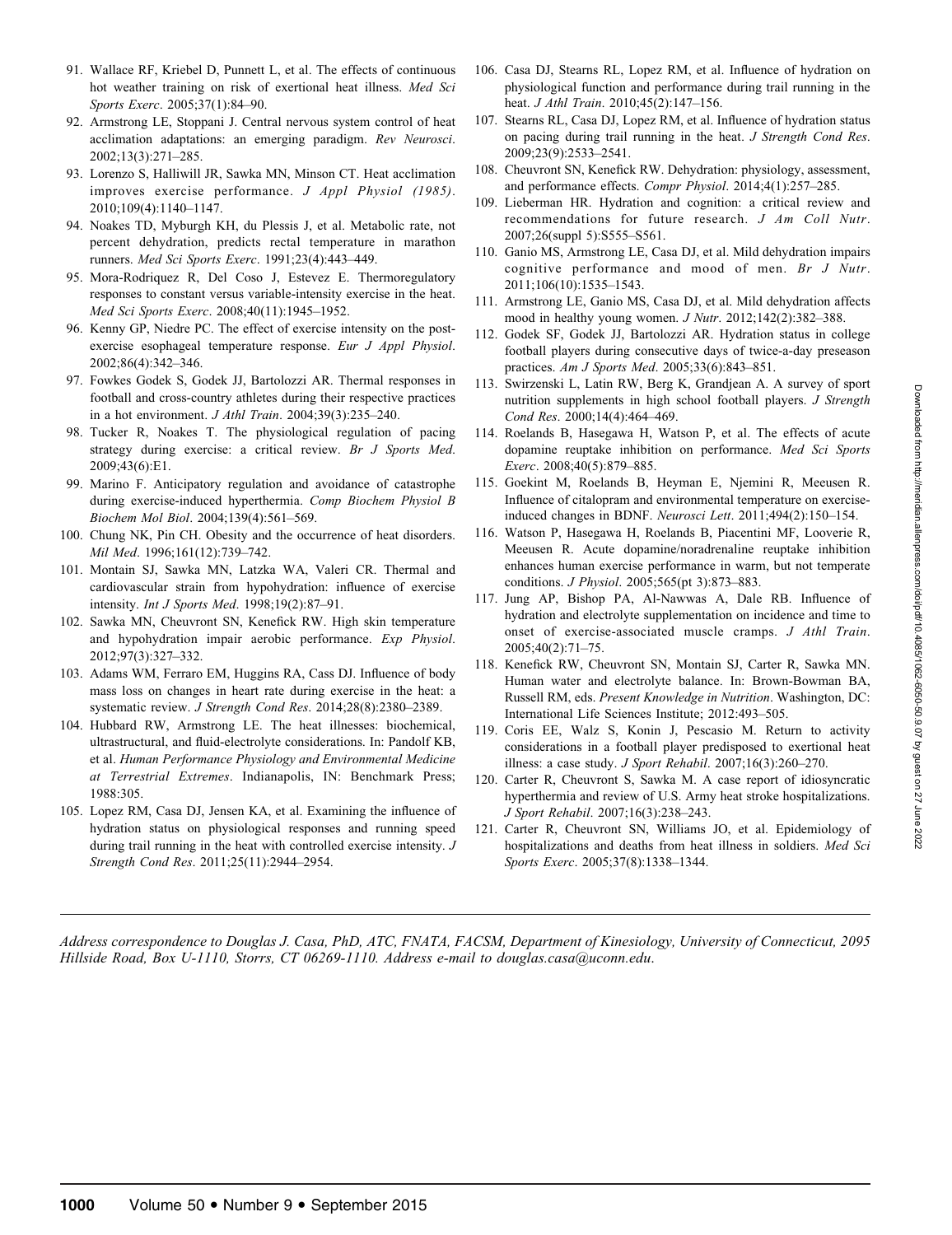- 91. Wallace RF, Kriebel D, Punnett L, et al. The effects of continuous hot weather training on risk of exertional heat illness. Med Sci Sports Exerc. 2005;37(1):84–90.
- 92. Armstrong LE, Stoppani J. Central nervous system control of heat acclimation adaptations: an emerging paradigm. Rev Neurosci. 2002;13(3):271–285.
- 93. Lorenzo S, Halliwill JR, Sawka MN, Minson CT. Heat acclimation improves exercise performance. J Appl Physiol (1985). 2010;109(4):1140–1147.
- 94. Noakes TD, Myburgh KH, du Plessis J, et al. Metabolic rate, not percent dehydration, predicts rectal temperature in marathon runners. Med Sci Sports Exerc. 1991;23(4):443–449.
- 95. Mora-Rodriquez R, Del Coso J, Estevez E. Thermoregulatory responses to constant versus variable-intensity exercise in the heat. Med Sci Sports Exerc. 2008;40(11):1945–1952.
- 96. Kenny GP, Niedre PC. The effect of exercise intensity on the postexercise esophageal temperature response. Eur J Appl Physiol. 2002;86(4):342–346.
- 97. Fowkes Godek S, Godek JJ, Bartolozzi AR. Thermal responses in football and cross-country athletes during their respective practices in a hot environment. J Athl Train. 2004;39(3):235–240.
- 98. Tucker R, Noakes T. The physiological regulation of pacing strategy during exercise: a critical review. Br J Sports Med. 2009;43(6):E1.
- 99. Marino F. Anticipatory regulation and avoidance of catastrophe during exercise-induced hyperthermia. Comp Biochem Physiol B Biochem Mol Biol. 2004;139(4):561–569.
- 100. Chung NK, Pin CH. Obesity and the occurrence of heat disorders. Mil Med. 1996;161(12):739–742.
- 101. Montain SJ, Sawka MN, Latzka WA, Valeri CR. Thermal and cardiovascular strain from hypohydration: influence of exercise intensity. Int J Sports Med. 1998;19(2):87–91.
- 102. Sawka MN, Cheuvront SN, Kenefick RW. High skin temperature and hypohydration impair aerobic performance. Exp Physiol. 2012;97(3):327–332.
- 103. Adams WM, Ferraro EM, Huggins RA, Cass DJ. Influence of body mass loss on changes in heart rate during exercise in the heat: a systematic review. J Strength Cond Res. 2014;28(8):2380–2389.
- 104. Hubbard RW, Armstrong LE. The heat illnesses: biochemical, ultrastructural, and fluid-electrolyte considerations. In: Pandolf KB, et al. Human Performance Physiology and Environmental Medicine at Terrestrial Extremes. Indianapolis, IN: Benchmark Press; 1988:305.
- 105. Lopez RM, Casa DJ, Jensen KA, et al. Examining the influence of hydration status on physiological responses and running speed during trail running in the heat with controlled exercise intensity. J Strength Cond Res. 2011;25(11):2944–2954.
- 106. Casa DJ, Stearns RL, Lopez RM, et al. Influence of hydration on physiological function and performance during trail running in the heat. *J Athl Train*. 2010;45(2):147-156.
- 107. Stearns RL, Casa DJ, Lopez RM, et al. Influence of hydration status on pacing during trail running in the heat. J Strength Cond Res. 2009;23(9):2533–2541.
- 108. Cheuvront SN, Kenefick RW. Dehydration: physiology, assessment, and performance effects. Compr Physiol. 2014;4(1):257–285.
- 109. Lieberman HR. Hydration and cognition: a critical review and recommendations for future research. J Am Coll Nutr. 2007;26(suppl 5):S555–S561.
- 110. Ganio MS, Armstrong LE, Casa DJ, et al. Mild dehydration impairs cognitive performance and mood of men. Br J Nutr. 2011;106(10):1535–1543.
- 111. Armstrong LE, Ganio MS, Casa DJ, et al. Mild dehydration affects mood in healthy young women. J Nutr. 2012;142(2):382–388.
- 112. Godek SF, Godek JJ, Bartolozzi AR. Hydration status in college football players during consecutive days of twice-a-day preseason practices. Am J Sports Med. 2005;33(6):843–851.
- 113. Swirzenski L, Latin RW, Berg K, Grandjean A. A survey of sport nutrition supplements in high school football players. J Strength Cond Res. 2000;14(4):464–469.
- 114. Roelands B, Hasegawa H, Watson P, et al. The effects of acute dopamine reuptake inhibition on performance. Med Sci Sports Exerc. 2008;40(5):879–885.
- 115. Goekint M, Roelands B, Heyman E, Njemini R, Meeusen R. Influence of citalopram and environmental temperature on exerciseinduced changes in BDNF. Neurosci Lett. 2011;494(2):150–154.
- 116. Watson P, Hasegawa H, Roelands B, Piacentini MF, Looverie R, Meeusen R. Acute dopamine/noradrenaline reuptake inhibition enhances human exercise performance in warm, but not temperate conditions. J Physiol. 2005;565(pt 3):873–883.
- 117. Jung AP, Bishop PA, Al-Nawwas A, Dale RB. Influence of hydration and electrolyte supplementation on incidence and time to onset of exercise-associated muscle cramps. J Athl Train. 2005;40(2):71–75.
- 118. Kenefick RW, Cheuvront SN, Montain SJ, Carter R, Sawka MN. Human water and electrolyte balance. In: Brown-Bowman BA, Russell RM, eds. Present Knowledge in Nutrition. Washington, DC: International Life Sciences Institute; 2012:493–505.
- 119. Coris EE, Walz S, Konin J, Pescasio M. Return to activity considerations in a football player predisposed to exertional heat illness: a case study. J Sport Rehabil. 2007;16(3):260–270.
- 120. Carter R, Cheuvront S, Sawka M. A case report of idiosyncratic hyperthermia and review of U.S. Army heat stroke hospitalizations. J Sport Rehabil. 2007;16(3):238–243.
- 121. Carter R, Cheuvront SN, Williams JO, et al. Epidemiology of hospitalizations and deaths from heat illness in soldiers. Med Sci Sports Exerc. 2005;37(8):1338–1344.

Address correspondence to Douglas J. Casa, PhD, ATC, FNATA, FACSM, Department of Kinesiology, University of Connecticut, 2095 Hillside Road, Box U-1110, Storrs, CT 06269-1110. Address e-mail to douglas.casa@uconn.edu.